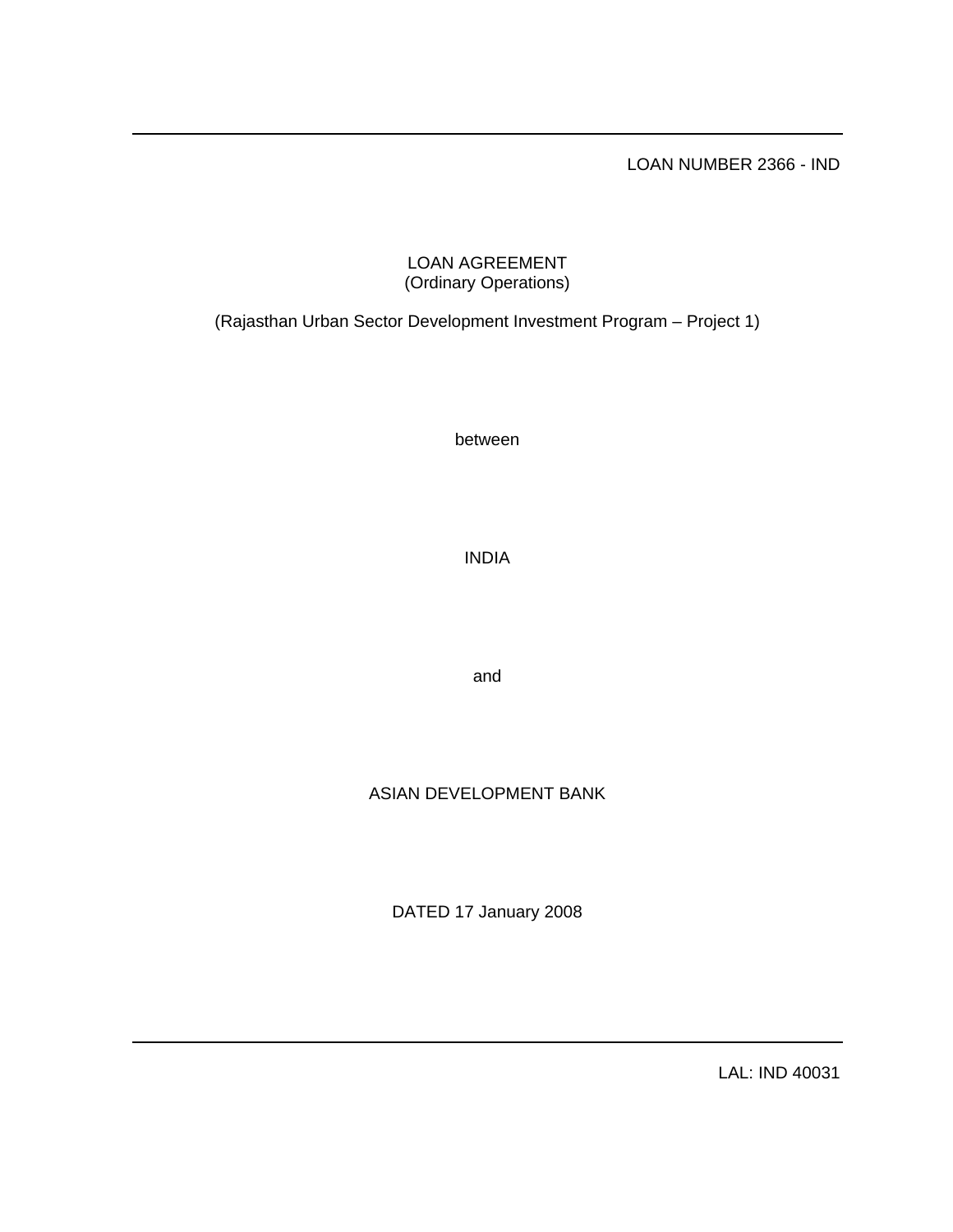LOAN NUMBER 2366 - IND

# LOAN AGREEMENT (Ordinary Operations)

(Rajasthan Urban Sector Development Investment Program – Project 1)

between

INDIA

and

# ASIAN DEVELOPMENT BANK

DATED 17 January 2008

LAL: IND 40031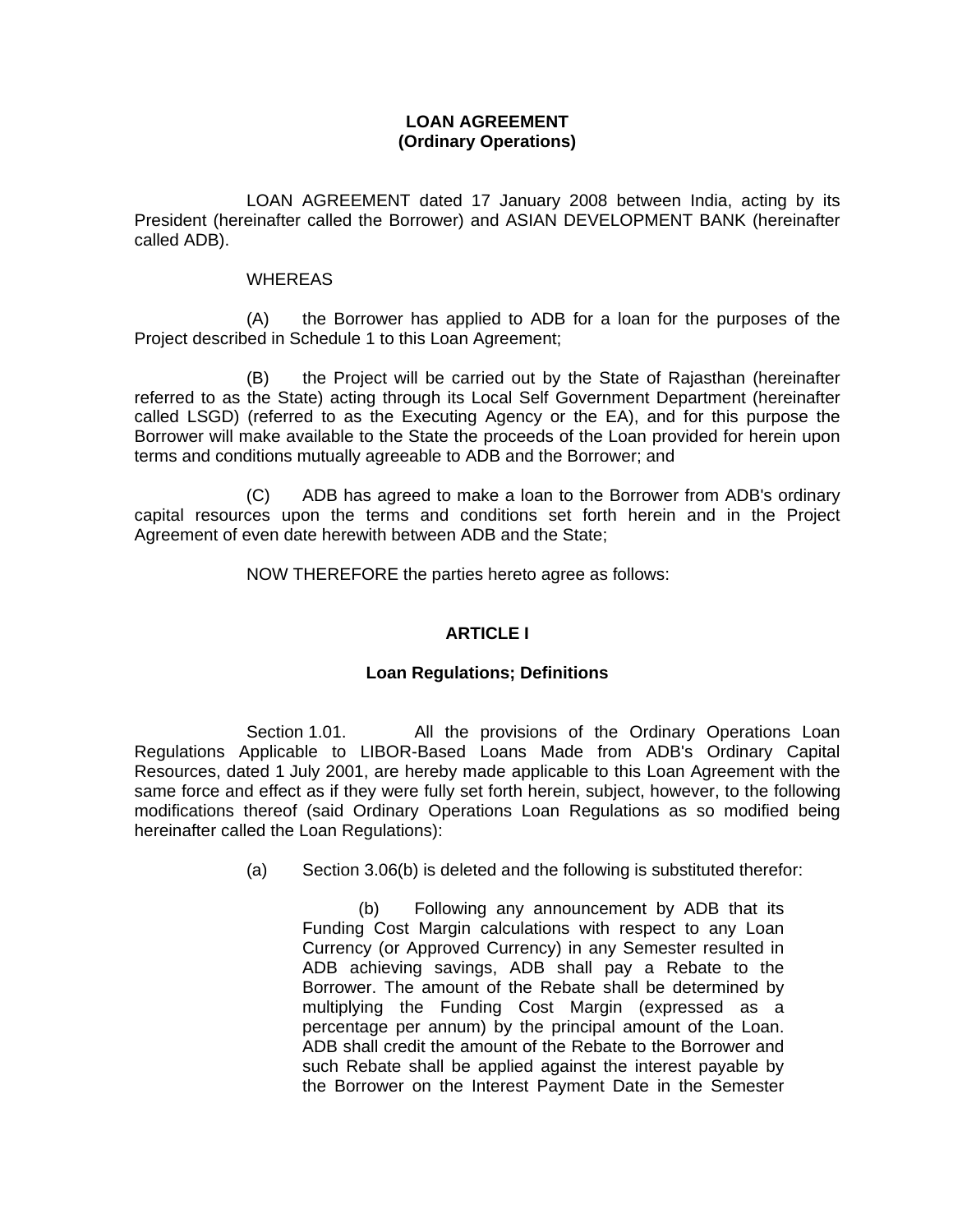# **LOAN AGREEMENT (Ordinary Operations)**

 LOAN AGREEMENT dated 17 January 2008 between India, acting by its President (hereinafter called the Borrower) and ASIAN DEVELOPMENT BANK (hereinafter called ADB).

### WHEREAS

 (A) the Borrower has applied to ADB for a loan for the purposes of the Project described in Schedule 1 to this Loan Agreement;

 (B) the Project will be carried out by the State of Rajasthan (hereinafter referred to as the State) acting through its Local Self Government Department (hereinafter called LSGD) (referred to as the Executing Agency or the EA), and for this purpose the Borrower will make available to the State the proceeds of the Loan provided for herein upon terms and conditions mutually agreeable to ADB and the Borrower; and

 (C) ADB has agreed to make a loan to the Borrower from ADB's ordinary capital resources upon the terms and conditions set forth herein and in the Project Agreement of even date herewith between ADB and the State;

NOW THEREFORE the parties hereto agree as follows:

# **ARTICLE I**

## **Loan Regulations; Definitions**

Section 1.01. All the provisions of the Ordinary Operations Loan Regulations Applicable to LIBOR-Based Loans Made from ADB's Ordinary Capital Resources, dated 1 July 2001, are hereby made applicable to this Loan Agreement with the same force and effect as if they were fully set forth herein, subject, however, to the following modifications thereof (said Ordinary Operations Loan Regulations as so modified being hereinafter called the Loan Regulations):

(a) Section 3.06(b) is deleted and the following is substituted therefor:

(b) Following any announcement by ADB that its Funding Cost Margin calculations with respect to any Loan Currency (or Approved Currency) in any Semester resulted in ADB achieving savings, ADB shall pay a Rebate to the Borrower. The amount of the Rebate shall be determined by multiplying the Funding Cost Margin (expressed as a percentage per annum) by the principal amount of the Loan. ADB shall credit the amount of the Rebate to the Borrower and such Rebate shall be applied against the interest payable by the Borrower on the Interest Payment Date in the Semester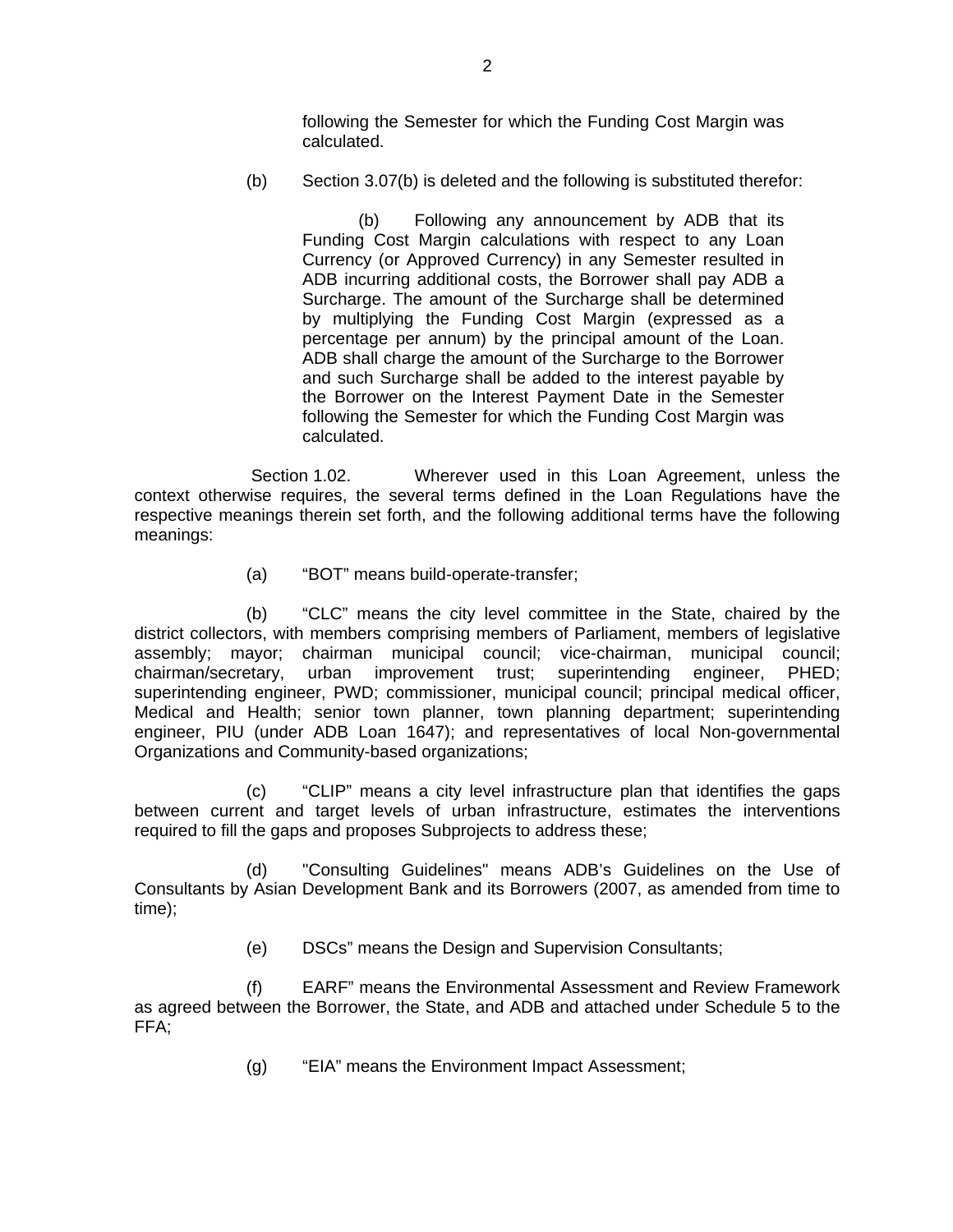following the Semester for which the Funding Cost Margin was calculated.

(b) Section 3.07(b) is deleted and the following is substituted therefor:

(b) Following any announcement by ADB that its Funding Cost Margin calculations with respect to any Loan Currency (or Approved Currency) in any Semester resulted in ADB incurring additional costs, the Borrower shall pay ADB a Surcharge. The amount of the Surcharge shall be determined by multiplying the Funding Cost Margin (expressed as a percentage per annum) by the principal amount of the Loan. ADB shall charge the amount of the Surcharge to the Borrower and such Surcharge shall be added to the interest payable by the Borrower on the Interest Payment Date in the Semester following the Semester for which the Funding Cost Margin was calculated.

 Section 1.02. Wherever used in this Loan Agreement, unless the context otherwise requires, the several terms defined in the Loan Regulations have the respective meanings therein set forth, and the following additional terms have the following meanings:

(a) "BOT" means build-operate-transfer;

(b) "CLC" means the city level committee in the State, chaired by the district collectors, with members comprising members of Parliament, members of legislative assembly; mayor; chairman municipal council; vice-chairman, municipal council; chairman/secretary, urban improvement trust; superintending engineer, PHED; superintending engineer, PWD; commissioner, municipal council; principal medical officer, Medical and Health; senior town planner, town planning department; superintending engineer, PIU (under ADB Loan 1647); and representatives of local Non-governmental Organizations and Community-based organizations;

(c) "CLIP" means a city level infrastructure plan that identifies the gaps between current and target levels of urban infrastructure, estimates the interventions required to fill the gaps and proposes Subprojects to address these;

(d) "Consulting Guidelines" means ADB's Guidelines on the Use of Consultants by Asian Development Bank and its Borrowers (2007, as amended from time to time);

(e) DSCs" means the Design and Supervision Consultants;

(f) EARF" means the Environmental Assessment and Review Framework as agreed between the Borrower, the State, and ADB and attached under Schedule 5 to the FFA;

(g) "EIA" means the Environment Impact Assessment;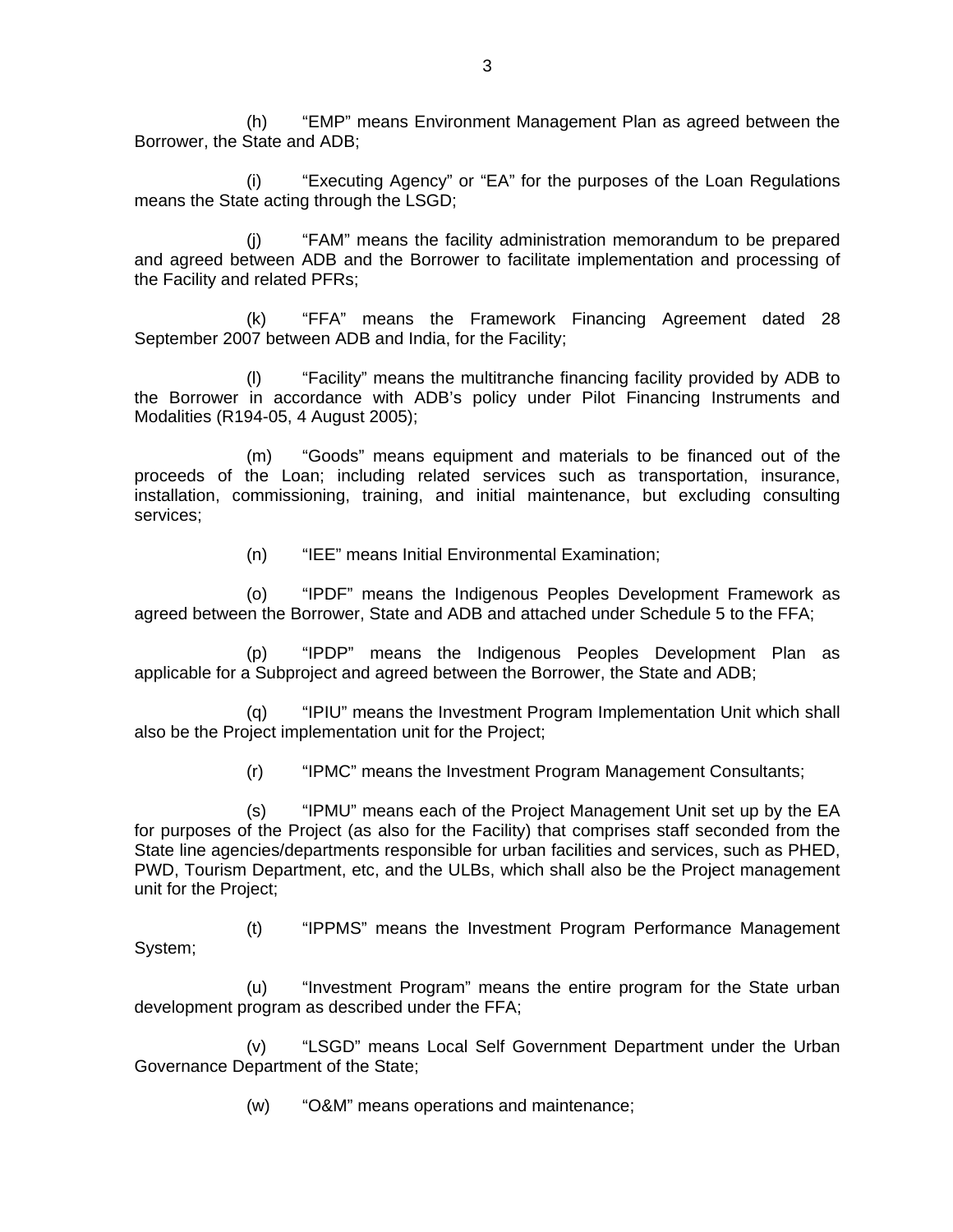(h) "EMP" means Environment Management Plan as agreed between the Borrower, the State and ADB;

(i) "Executing Agency" or "EA" for the purposes of the Loan Regulations means the State acting through the LSGD;

(j) "FAM" means the facility administration memorandum to be prepared and agreed between ADB and the Borrower to facilitate implementation and processing of the Facility and related PFRs;

(k) "FFA" means the Framework Financing Agreement dated 28 September 2007 between ADB and India, for the Facility;

(l) "Facility" means the multitranche financing facility provided by ADB to the Borrower in accordance with ADB's policy under Pilot Financing Instruments and Modalities (R194-05, 4 August 2005);

(m) "Goods" means equipment and materials to be financed out of the proceeds of the Loan; including related services such as transportation, insurance, installation, commissioning, training, and initial maintenance, but excluding consulting services;

(n) "IEE" means Initial Environmental Examination;

(o) "IPDF" means the Indigenous Peoples Development Framework as agreed between the Borrower, State and ADB and attached under Schedule 5 to the FFA;

(p) "IPDP" means the Indigenous Peoples Development Plan as applicable for a Subproject and agreed between the Borrower, the State and ADB;

(q) "IPIU" means the Investment Program Implementation Unit which shall also be the Project implementation unit for the Project;

(r) "IPMC" means the Investment Program Management Consultants;

 (s) "IPMU" means each of the Project Management Unit set up by the EA for purposes of the Project (as also for the Facility) that comprises staff seconded from the State line agencies/departments responsible for urban facilities and services, such as PHED, PWD, Tourism Department, etc, and the ULBs, which shall also be the Project management unit for the Project;

(t) "IPPMS" means the Investment Program Performance Management System;

(u) "Investment Program" means the entire program for the State urban development program as described under the FFA;

 (v) "LSGD" means Local Self Government Department under the Urban Governance Department of the State;

(w) "O&M" means operations and maintenance;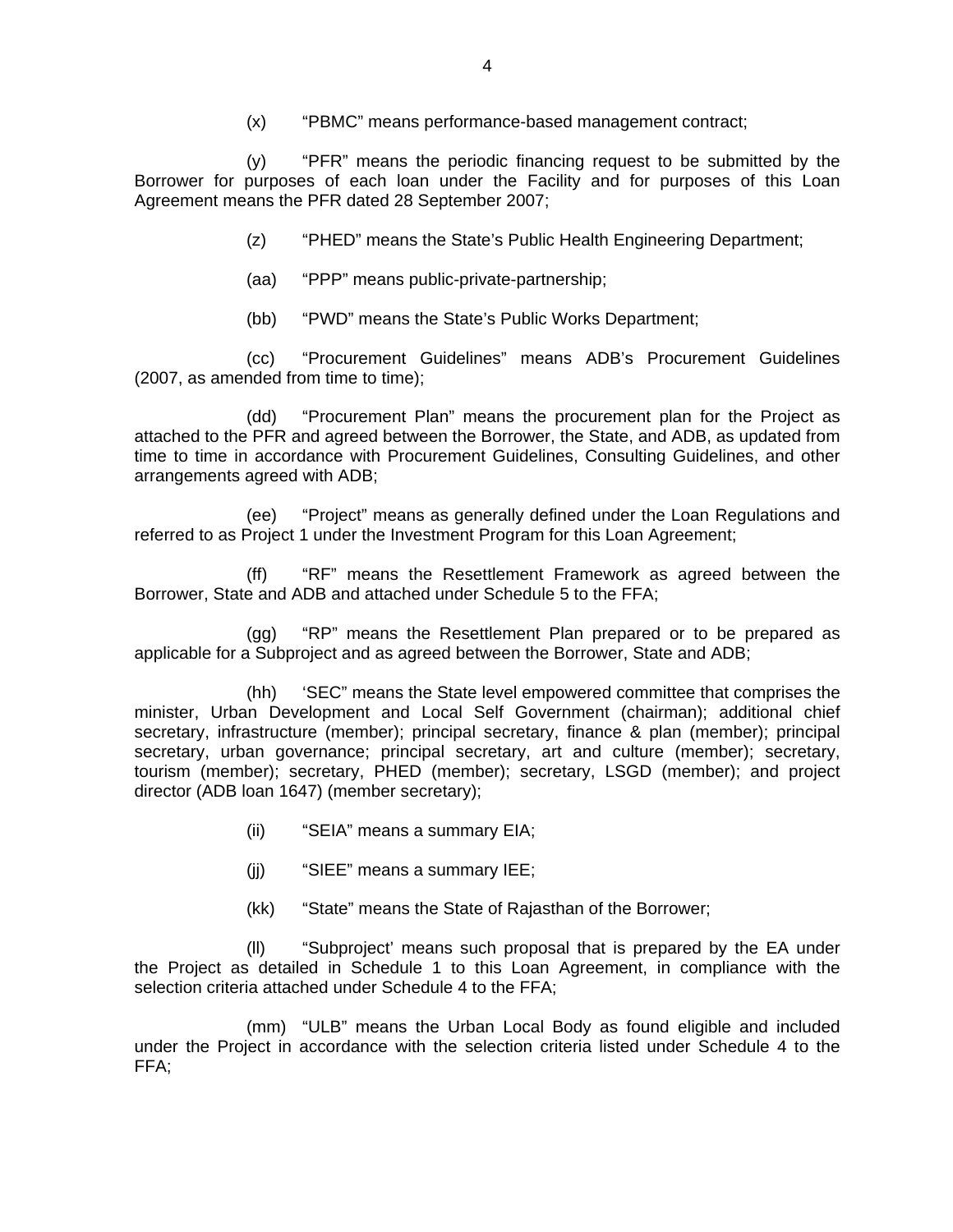(x) "PBMC" means performance-based management contract;

(y) "PFR" means the periodic financing request to be submitted by the Borrower for purposes of each loan under the Facility and for purposes of this Loan Agreement means the PFR dated 28 September 2007;

(z) "PHED" means the State's Public Health Engineering Department;

- (aa) "PPP" means public-private-partnership;
- (bb) "PWD" means the State's Public Works Department;

(cc) "Procurement Guidelines" means ADB's Procurement Guidelines (2007, as amended from time to time);

(dd) "Procurement Plan" means the procurement plan for the Project as attached to the PFR and agreed between the Borrower, the State, and ADB, as updated from time to time in accordance with Procurement Guidelines, Consulting Guidelines, and other arrangements agreed with ADB;

(ee) "Project" means as generally defined under the Loan Regulations and referred to as Project 1 under the Investment Program for this Loan Agreement;

(ff) "RF" means the Resettlement Framework as agreed between the Borrower, State and ADB and attached under Schedule 5 to the FFA;

(gg) "RP" means the Resettlement Plan prepared or to be prepared as applicable for a Subproject and as agreed between the Borrower, State and ADB;

 (hh) 'SEC" means the State level empowered committee that comprises the minister, Urban Development and Local Self Government (chairman); additional chief secretary, infrastructure (member); principal secretary, finance & plan (member); principal secretary, urban governance; principal secretary, art and culture (member); secretary, tourism (member); secretary, PHED (member); secretary, LSGD (member); and project director (ADB loan 1647) (member secretary);

- (ii) "SEIA" means a summary EIA;
- (jj) "SIEE" means a summary IEE;
- (kk) "State" means the State of Rajasthan of the Borrower;

(ll) "Subproject' means such proposal that is prepared by the EA under the Project as detailed in Schedule 1 to this Loan Agreement, in compliance with the selection criteria attached under Schedule 4 to the FFA;

(mm) "ULB" means the Urban Local Body as found eligible and included under the Project in accordance with the selection criteria listed under Schedule 4 to the FFA;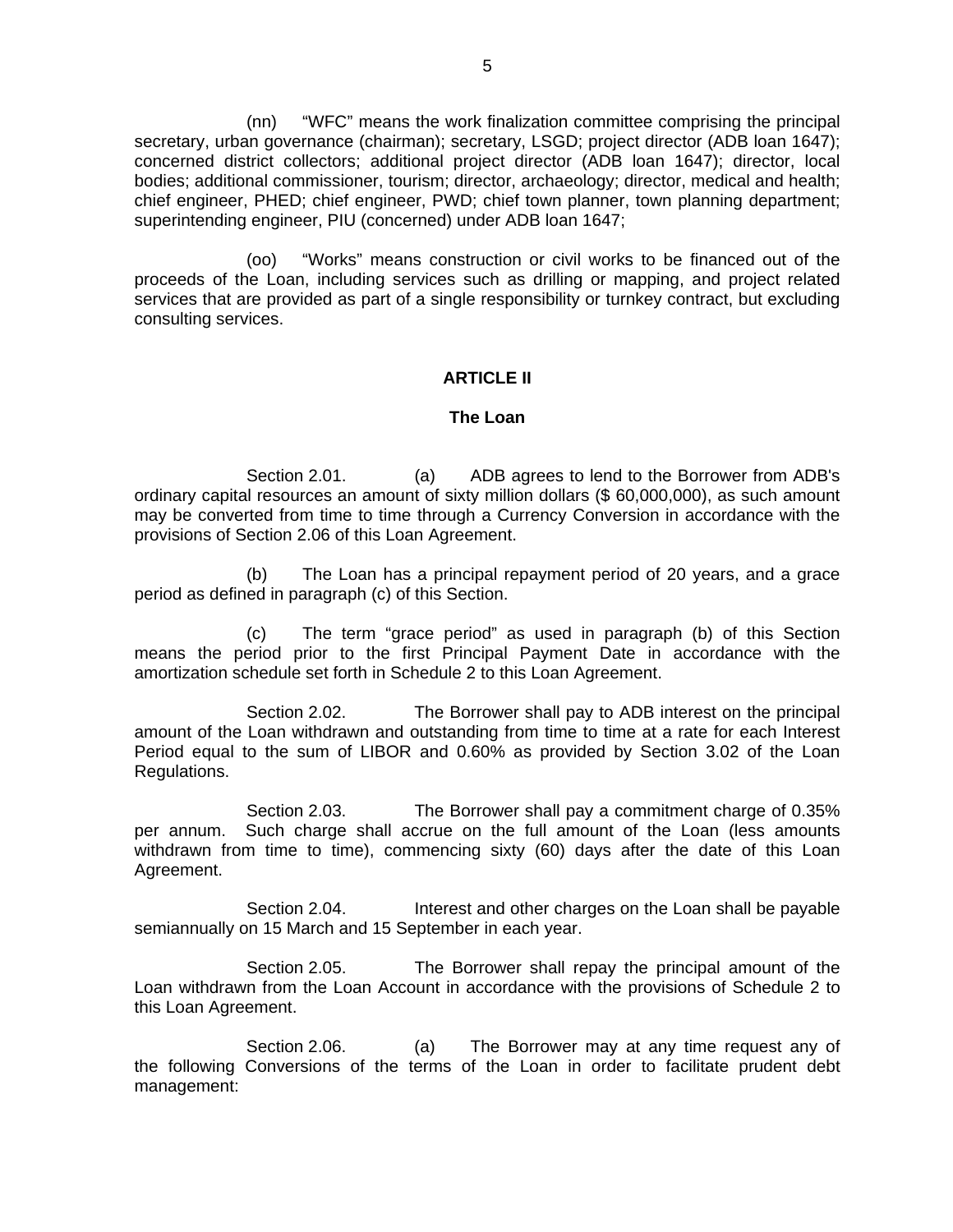(nn) "WFC" means the work finalization committee comprising the principal secretary, urban governance (chairman); secretary, LSGD; project director (ADB loan 1647); concerned district collectors; additional project director (ADB loan 1647); director, local bodies; additional commissioner, tourism; director, archaeology; director, medical and health; chief engineer, PHED; chief engineer, PWD; chief town planner, town planning department; superintending engineer, PIU (concerned) under ADB loan 1647;

(oo) "Works" means construction or civil works to be financed out of the proceeds of the Loan, including services such as drilling or mapping, and project related services that are provided as part of a single responsibility or turnkey contract, but excluding consulting services.

### **ARTICLE II**

### **The Loan**

Section 2.01. (a) ADB agrees to lend to the Borrower from ADB's ordinary capital resources an amount of sixty million dollars (\$ 60,000,000), as such amount may be converted from time to time through a Currency Conversion in accordance with the provisions of Section 2.06 of this Loan Agreement.

(b) The Loan has a principal repayment period of 20 years, and a grace period as defined in paragraph (c) of this Section.

(c) The term "grace period" as used in paragraph (b) of this Section means the period prior to the first Principal Payment Date in accordance with the amortization schedule set forth in Schedule 2 to this Loan Agreement.

Section 2.02. The Borrower shall pay to ADB interest on the principal amount of the Loan withdrawn and outstanding from time to time at a rate for each Interest Period equal to the sum of LIBOR and 0.60% as provided by Section 3.02 of the Loan Regulations.

 Section 2.03. The Borrower shall pay a commitment charge of 0.35% per annum. Such charge shall accrue on the full amount of the Loan (less amounts withdrawn from time to time), commencing sixty (60) days after the date of this Loan Agreement.

 Section 2.04. Interest and other charges on the Loan shall be payable semiannually on 15 March and 15 September in each year.

 Section 2.05. The Borrower shall repay the principal amount of the Loan withdrawn from the Loan Account in accordance with the provisions of Schedule 2 to this Loan Agreement.

 Section 2.06. (a) The Borrower may at any time request any of the following Conversions of the terms of the Loan in order to facilitate prudent debt management: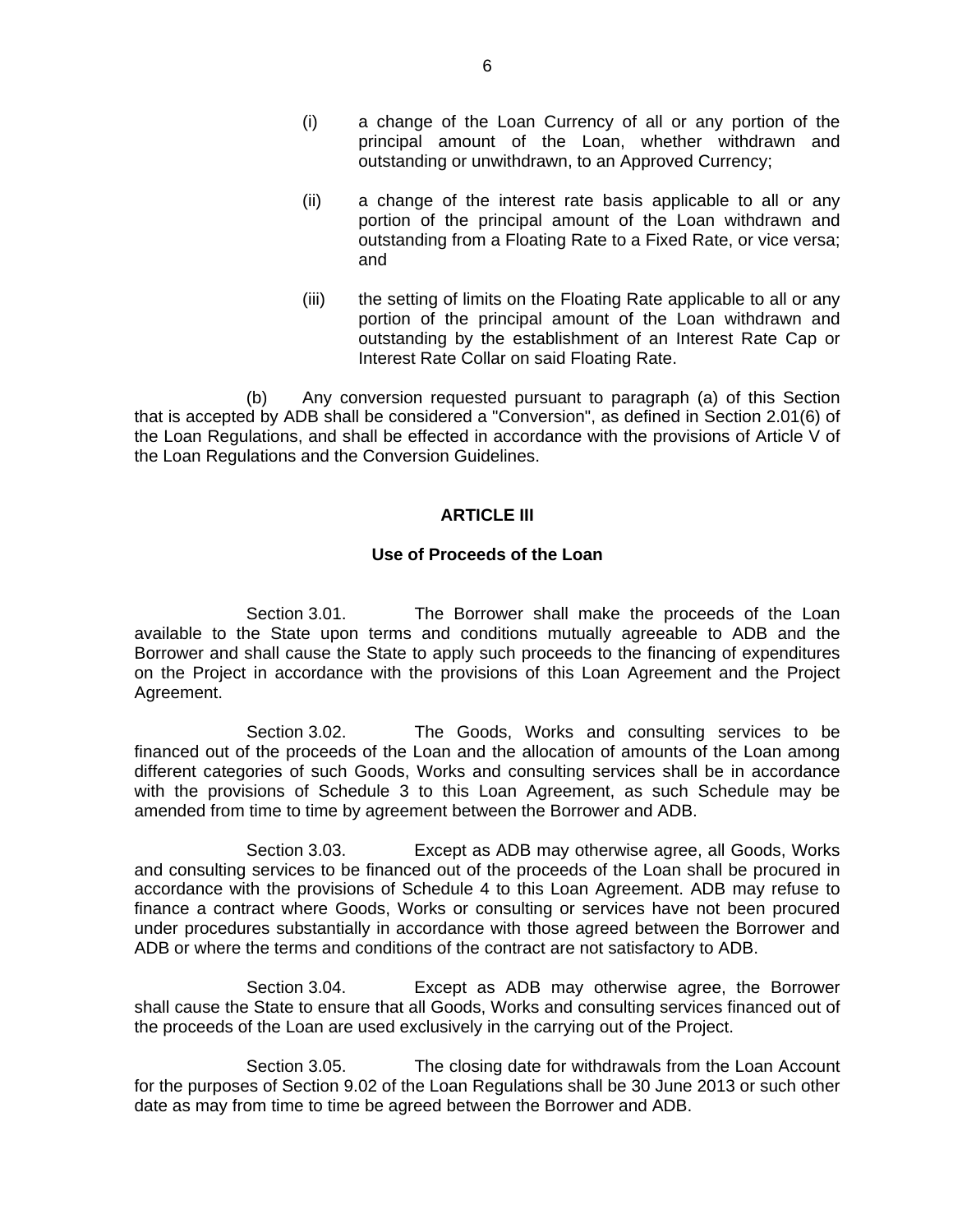- (i) a change of the Loan Currency of all or any portion of the principal amount of the Loan, whether withdrawn and outstanding or unwithdrawn, to an Approved Currency;
- (ii) a change of the interest rate basis applicable to all or any portion of the principal amount of the Loan withdrawn and outstanding from a Floating Rate to a Fixed Rate, or vice versa; and
- (iii) the setting of limits on the Floating Rate applicable to all or any portion of the principal amount of the Loan withdrawn and outstanding by the establishment of an Interest Rate Cap or Interest Rate Collar on said Floating Rate.

(b) Any conversion requested pursuant to paragraph (a) of this Section that is accepted by ADB shall be considered a "Conversion", as defined in Section 2.01(6) of the Loan Regulations, and shall be effected in accordance with the provisions of Article V of the Loan Regulations and the Conversion Guidelines.

# **ARTICLE III**

# **Use of Proceeds of the Loan**

 Section 3.01. The Borrower shall make the proceeds of the Loan available to the State upon terms and conditions mutually agreeable to ADB and the Borrower and shall cause the State to apply such proceeds to the financing of expenditures on the Project in accordance with the provisions of this Loan Agreement and the Project Agreement.

 Section 3.02. The Goods, Works and consulting services to be financed out of the proceeds of the Loan and the allocation of amounts of the Loan among different categories of such Goods, Works and consulting services shall be in accordance with the provisions of Schedule 3 to this Loan Agreement, as such Schedule may be amended from time to time by agreement between the Borrower and ADB.

 Section 3.03. Except as ADB may otherwise agree, all Goods, Works and consulting services to be financed out of the proceeds of the Loan shall be procured in accordance with the provisions of Schedule 4 to this Loan Agreement. ADB may refuse to finance a contract where Goods, Works or consulting or services have not been procured under procedures substantially in accordance with those agreed between the Borrower and ADB or where the terms and conditions of the contract are not satisfactory to ADB.

 Section 3.04. Except as ADB may otherwise agree, the Borrower shall cause the State to ensure that all Goods, Works and consulting services financed out of the proceeds of the Loan are used exclusively in the carrying out of the Project.

 Section 3.05. The closing date for withdrawals from the Loan Account for the purposes of Section 9.02 of the Loan Regulations shall be 30 June 2013 or such other date as may from time to time be agreed between the Borrower and ADB.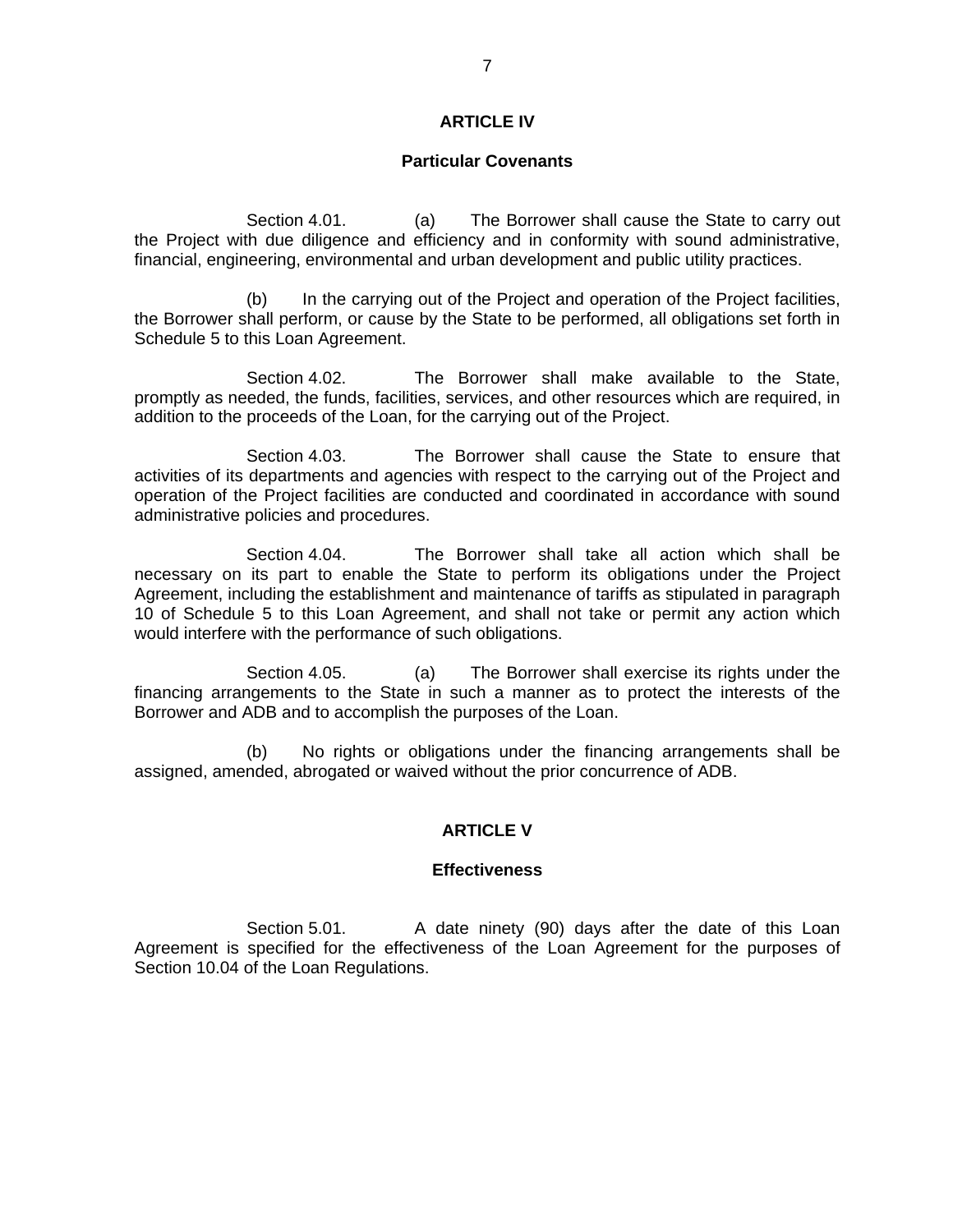# **ARTICLE IV**

### **Particular Covenants**

 Section 4.01. (a) The Borrower shall cause the State to carry out the Project with due diligence and efficiency and in conformity with sound administrative, financial, engineering, environmental and urban development and public utility practices.

 (b) In the carrying out of the Project and operation of the Project facilities, the Borrower shall perform, or cause by the State to be performed, all obligations set forth in Schedule 5 to this Loan Agreement.

Section 4.02. The Borrower shall make available to the State, promptly as needed, the funds, facilities, services, and other resources which are required, in addition to the proceeds of the Loan, for the carrying out of the Project.

 Section 4.03. The Borrower shall cause the State to ensure that activities of its departments and agencies with respect to the carrying out of the Project and operation of the Project facilities are conducted and coordinated in accordance with sound administrative policies and procedures.

 Section 4.04. The Borrower shall take all action which shall be necessary on its part to enable the State to perform its obligations under the Project Agreement, including the establishment and maintenance of tariffs as stipulated in paragraph 10 of Schedule 5 to this Loan Agreement, and shall not take or permit any action which would interfere with the performance of such obligations.

 Section 4.05. (a) The Borrower shall exercise its rights under the financing arrangements to the State in such a manner as to protect the interests of the Borrower and ADB and to accomplish the purposes of the Loan.

(b) No rights or obligations under the financing arrangements shall be assigned, amended, abrogated or waived without the prior concurrence of ADB.

### **ARTICLE V**

### **Effectiveness**

Section 5.01. A date ninety (90) days after the date of this Loan Agreement is specified for the effectiveness of the Loan Agreement for the purposes of Section 10.04 of the Loan Regulations.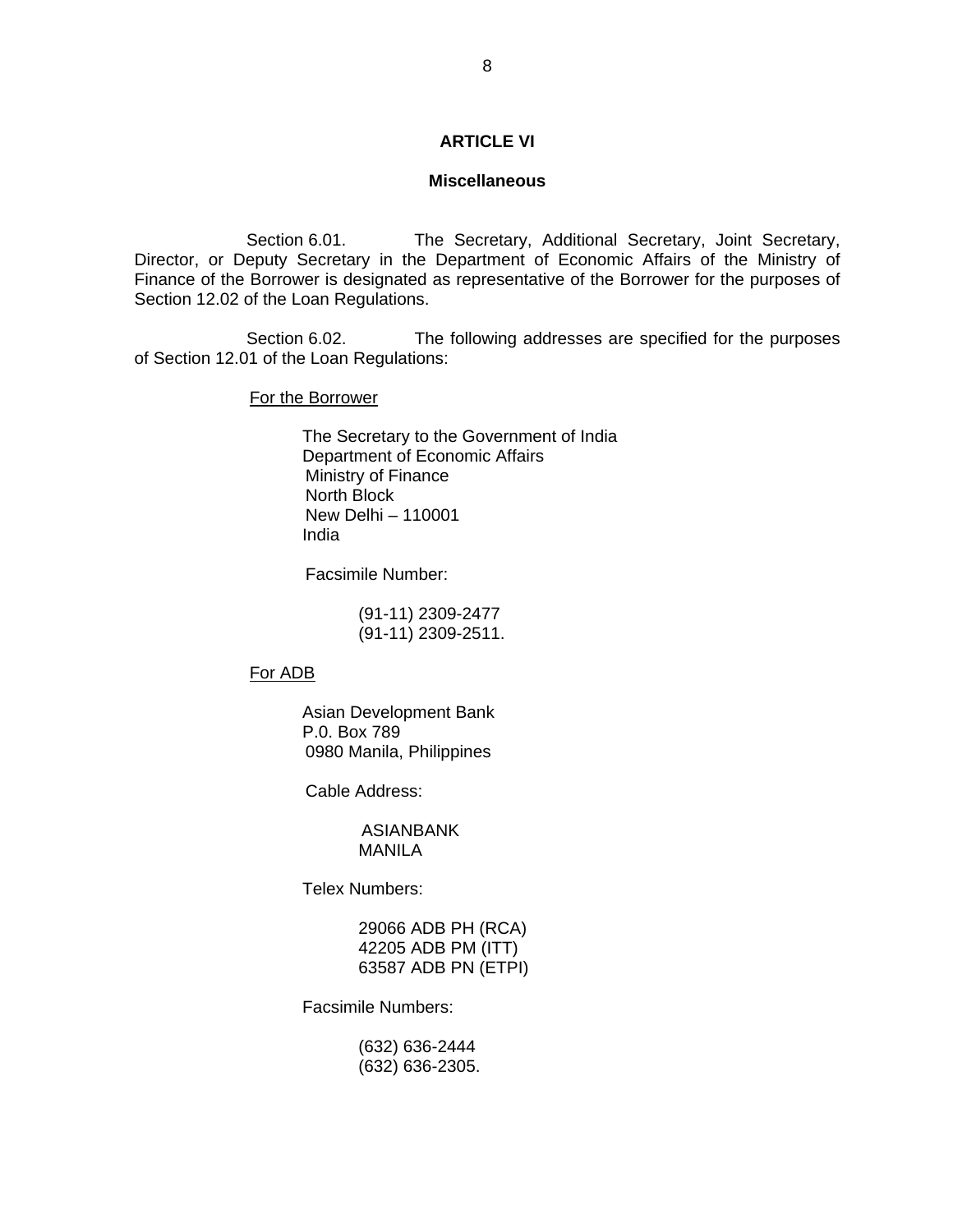### **ARTICLE VI**

### **Miscellaneous**

Section 6.01. The Secretary, Additional Secretary, Joint Secretary, Director, or Deputy Secretary in the Department of Economic Affairs of the Ministry of Finance of the Borrower is designated as representative of the Borrower for the purposes of Section 12.02 of the Loan Regulations.

 Section 6.02. The following addresses are specified for the purposes of Section 12.01 of the Loan Regulations:

For the Borrower

 The Secretary to the Government of India Department of Economic Affairs Ministry of Finance North Block New Delhi – 110001 India

Facsimile Number:

 (91-11) 2309-2477 (91-11) 2309-2511.

For ADB

Asian Development Bank P.0. Box 789 0980 Manila, Philippines

Cable Address:

ASIANBANK MANILA

Telex Numbers:

 29066 ADB PH (RCA) 42205 ADB PM (ITT) 63587 ADB PN (ETPI)

Facsimile Numbers:

 (632) 636-2444 (632) 636-2305.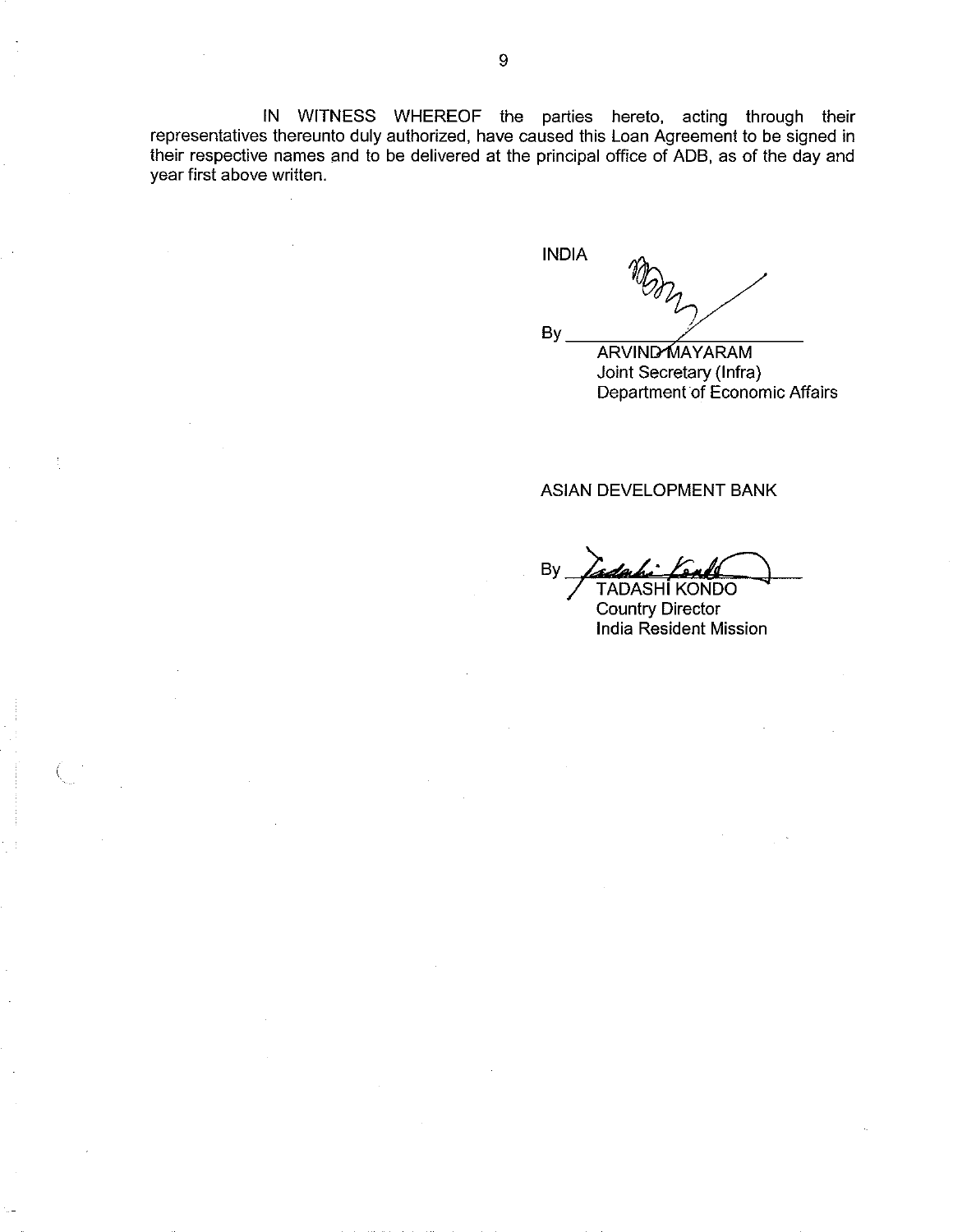IN WITNESS WHEREOF the parties hereto, acting through their representatives thereunto duly authorized, have caused this Loan Agreement to be signed in their respective names and to be delivered at the principal office of ADB, as of the day and year first above written.

**INDIA** 

By

**ARVIND MAYARAM** Joint Secretary (Infra) Department of Economic Affairs

### ASIAN DEVELOPMENT BANK

Bv **TADASHI KONDO** 

**Country Director India Resident Mission**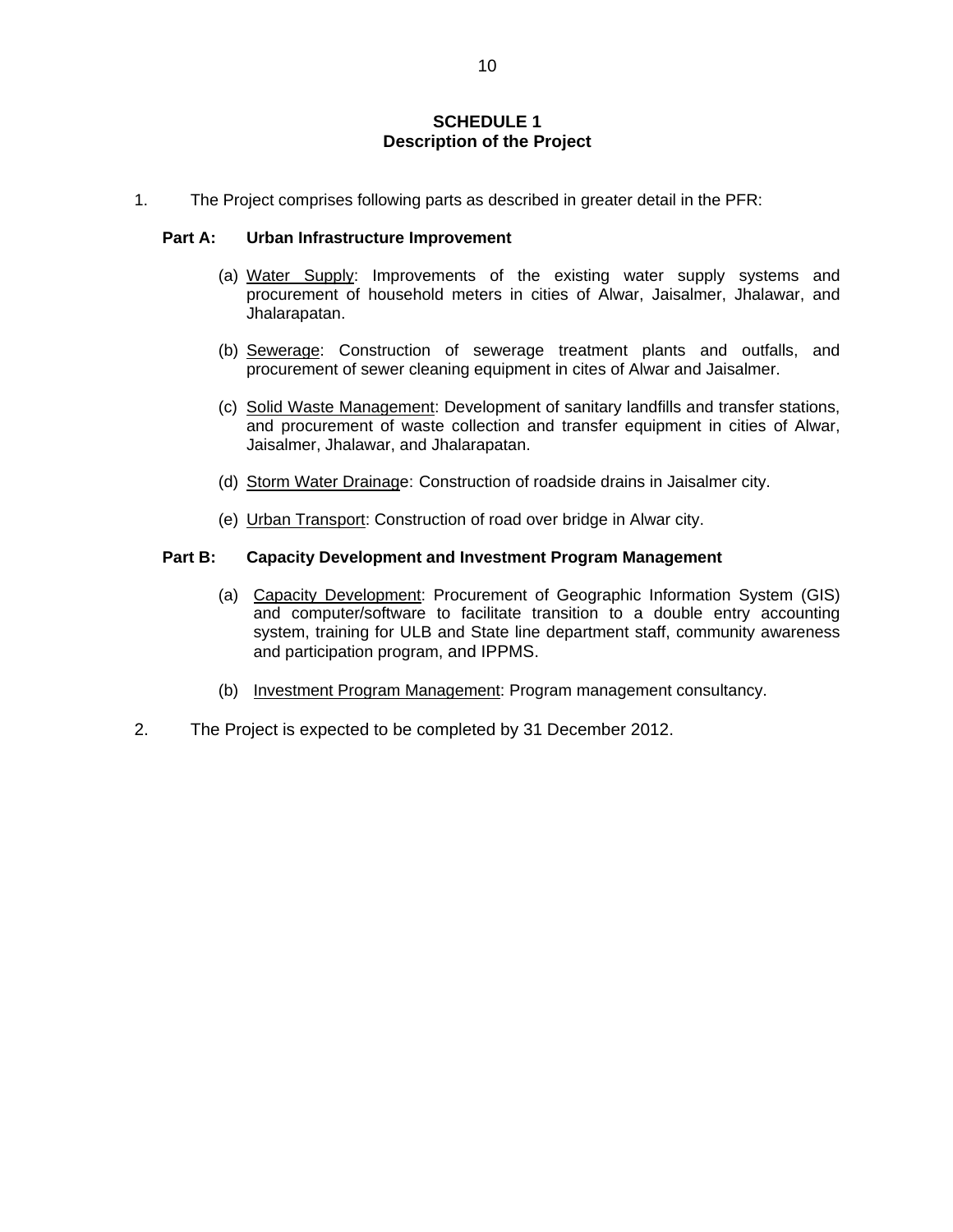## **SCHEDULE 1 Description of the Project**

1. The Project comprises following parts as described in greater detail in the PFR:

### **Part A: Urban Infrastructure Improvement**

- (a) Water Supply: Improvements of the existing water supply systems and procurement of household meters in cities of Alwar, Jaisalmer, Jhalawar, and Jhalarapatan.
- (b) Sewerage: Construction of sewerage treatment plants and outfalls, and procurement of sewer cleaning equipment in cites of Alwar and Jaisalmer.
- (c) Solid Waste Management: Development of sanitary landfills and transfer stations, and procurement of waste collection and transfer equipment in cities of Alwar, Jaisalmer, Jhalawar, and Jhalarapatan.
- (d) Storm Water Drainage: Construction of roadside drains in Jaisalmer city.
- (e) Urban Transport: Construction of road over bridge in Alwar city.

### **Part B: Capacity Development and Investment Program Management**

- (a) Capacity Development: Procurement of Geographic Information System (GIS) and computer/software to facilitate transition to a double entry accounting system, training for ULB and State line department staff, community awareness and participation program, and IPPMS.
- (b) Investment Program Management: Program management consultancy.
- 2. The Project is expected to be completed by 31 December 2012.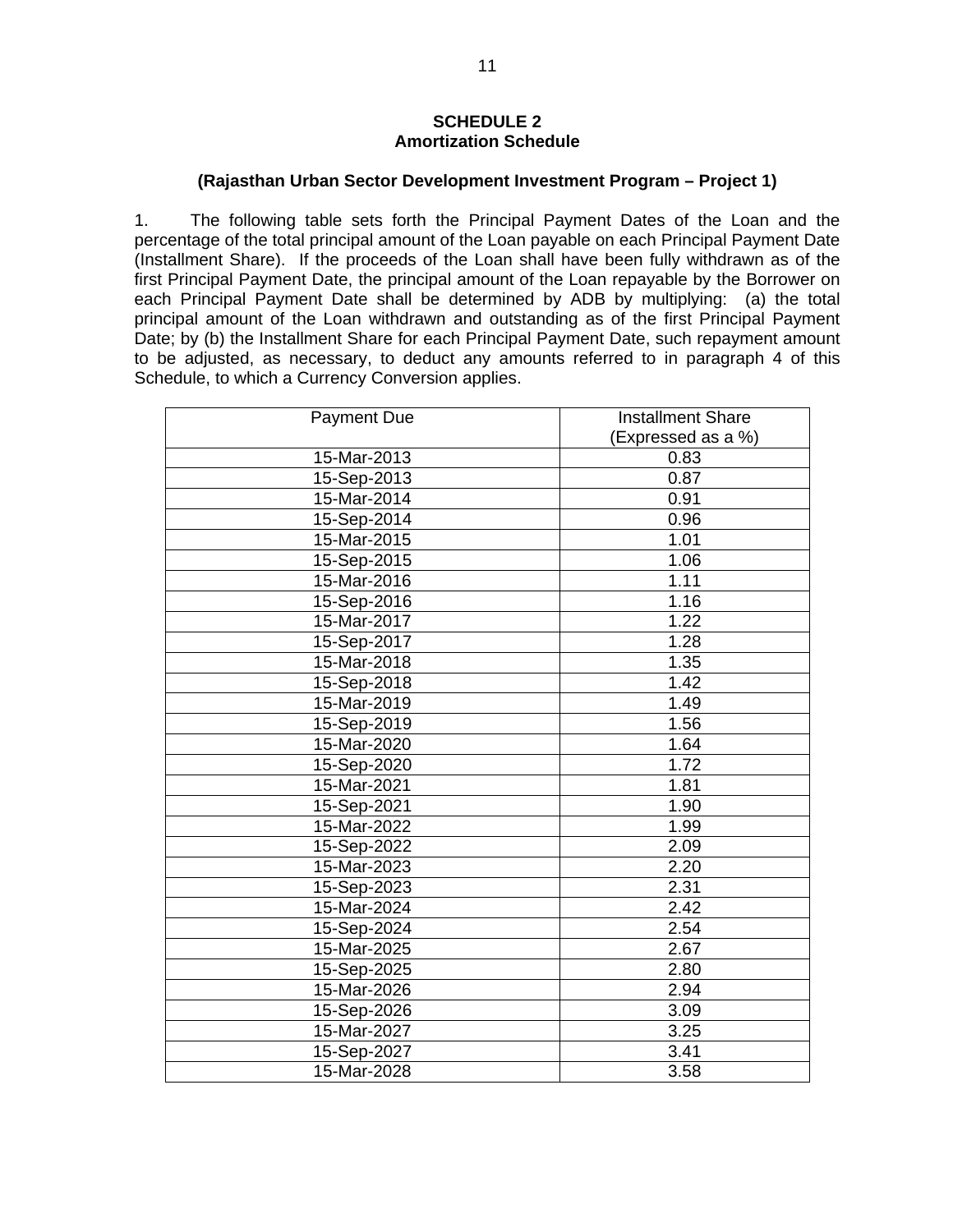## **SCHEDULE 2 Amortization Schedule**

## **(Rajasthan Urban Sector Development Investment Program – Project 1)**

1. The following table sets forth the Principal Payment Dates of the Loan and the percentage of the total principal amount of the Loan payable on each Principal Payment Date (Installment Share). If the proceeds of the Loan shall have been fully withdrawn as of the first Principal Payment Date, the principal amount of the Loan repayable by the Borrower on each Principal Payment Date shall be determined by ADB by multiplying: (a) the total principal amount of the Loan withdrawn and outstanding as of the first Principal Payment Date; by (b) the Installment Share for each Principal Payment Date, such repayment amount to be adjusted, as necessary, to deduct any amounts referred to in paragraph 4 of this Schedule, to which a Currency Conversion applies.

| <b>Payment Due</b> | <b>Installment Share</b> |  |  |
|--------------------|--------------------------|--|--|
|                    | (Expressed as a %)       |  |  |
| 15-Mar-2013        | 0.83                     |  |  |
| 15-Sep-2013        | 0.87                     |  |  |
| 15-Mar-2014        | 0.91                     |  |  |
| 15-Sep-2014        | 0.96                     |  |  |
| 15-Mar-2015        | 1.01                     |  |  |
| 15-Sep-2015        | 1.06                     |  |  |
| 15-Mar-2016        | 1.11                     |  |  |
| 15-Sep-2016        | 1.16                     |  |  |
| 15-Mar-2017        | 1.22                     |  |  |
| 15-Sep-2017        | 1.28                     |  |  |
| 15-Mar-2018        | 1.35                     |  |  |
| 15-Sep-2018        | 1.42                     |  |  |
| 15-Mar-2019        | 1.49                     |  |  |
| 15-Sep-2019        | 1.56                     |  |  |
| 15-Mar-2020        | 1.64                     |  |  |
| 15-Sep-2020        | 1.72                     |  |  |
| 15-Mar-2021        | 1.81                     |  |  |
| 15-Sep-2021        | 1.90                     |  |  |
| 15-Mar-2022        | 1.99                     |  |  |
| 15-Sep-2022        | 2.09                     |  |  |
| 15-Mar-2023        | 2.20                     |  |  |
| 15-Sep-2023        | 2.31                     |  |  |
| 15-Mar-2024        | 2.42                     |  |  |
| 15-Sep-2024        | 2.54                     |  |  |
| 15-Mar-2025        | 2.67                     |  |  |
| 15-Sep-2025        | 2.80                     |  |  |
| 15-Mar-2026        | 2.94                     |  |  |
| 15-Sep-2026        | 3.09                     |  |  |
| 15-Mar-2027        | 3.25                     |  |  |
| 15-Sep-2027        | 3.41                     |  |  |
| 15-Mar-2028        | 3.58                     |  |  |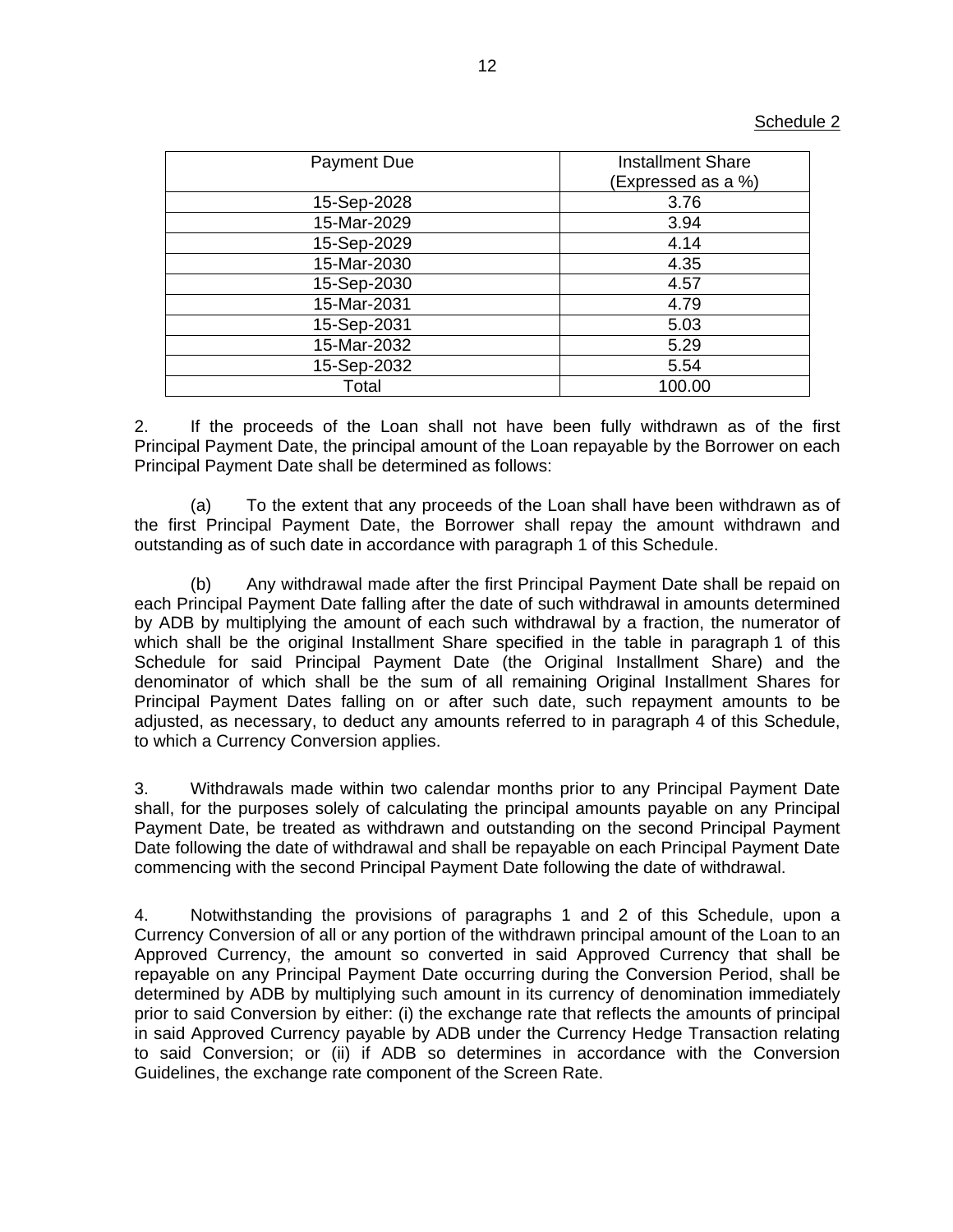| <b>Payment Due</b> | <b>Installment Share</b> |
|--------------------|--------------------------|
|                    | (Expressed as a %)       |
| 15-Sep-2028        | 3.76                     |
| 15-Mar-2029        | 3.94                     |
| 15-Sep-2029        | 4.14                     |
| 15-Mar-2030        | 4.35                     |
| 15-Sep-2030        | 4.57                     |
| 15-Mar-2031        | 4.79                     |
| 15-Sep-2031        | 5.03                     |
| 15-Mar-2032        | 5.29                     |
| 15-Sep-2032        | 5.54                     |
| Total              | 100.00                   |

2. If the proceeds of the Loan shall not have been fully withdrawn as of the first Principal Payment Date, the principal amount of the Loan repayable by the Borrower on each Principal Payment Date shall be determined as follows:

(a) To the extent that any proceeds of the Loan shall have been withdrawn as of the first Principal Payment Date, the Borrower shall repay the amount withdrawn and outstanding as of such date in accordance with paragraph 1 of this Schedule.

(b) Any withdrawal made after the first Principal Payment Date shall be repaid on each Principal Payment Date falling after the date of such withdrawal in amounts determined by ADB by multiplying the amount of each such withdrawal by a fraction, the numerator of which shall be the original Installment Share specified in the table in paragraph 1 of this Schedule for said Principal Payment Date (the Original Installment Share) and the denominator of which shall be the sum of all remaining Original Installment Shares for Principal Payment Dates falling on or after such date, such repayment amounts to be adjusted, as necessary, to deduct any amounts referred to in paragraph 4 of this Schedule, to which a Currency Conversion applies.

3. Withdrawals made within two calendar months prior to any Principal Payment Date shall, for the purposes solely of calculating the principal amounts payable on any Principal Payment Date, be treated as withdrawn and outstanding on the second Principal Payment Date following the date of withdrawal and shall be repayable on each Principal Payment Date commencing with the second Principal Payment Date following the date of withdrawal.

4. Notwithstanding the provisions of paragraphs 1 and 2 of this Schedule, upon a Currency Conversion of all or any portion of the withdrawn principal amount of the Loan to an Approved Currency, the amount so converted in said Approved Currency that shall be repayable on any Principal Payment Date occurring during the Conversion Period, shall be determined by ADB by multiplying such amount in its currency of denomination immediately prior to said Conversion by either: (i) the exchange rate that reflects the amounts of principal in said Approved Currency payable by ADB under the Currency Hedge Transaction relating to said Conversion; or (ii) if ADB so determines in accordance with the Conversion Guidelines, the exchange rate component of the Screen Rate.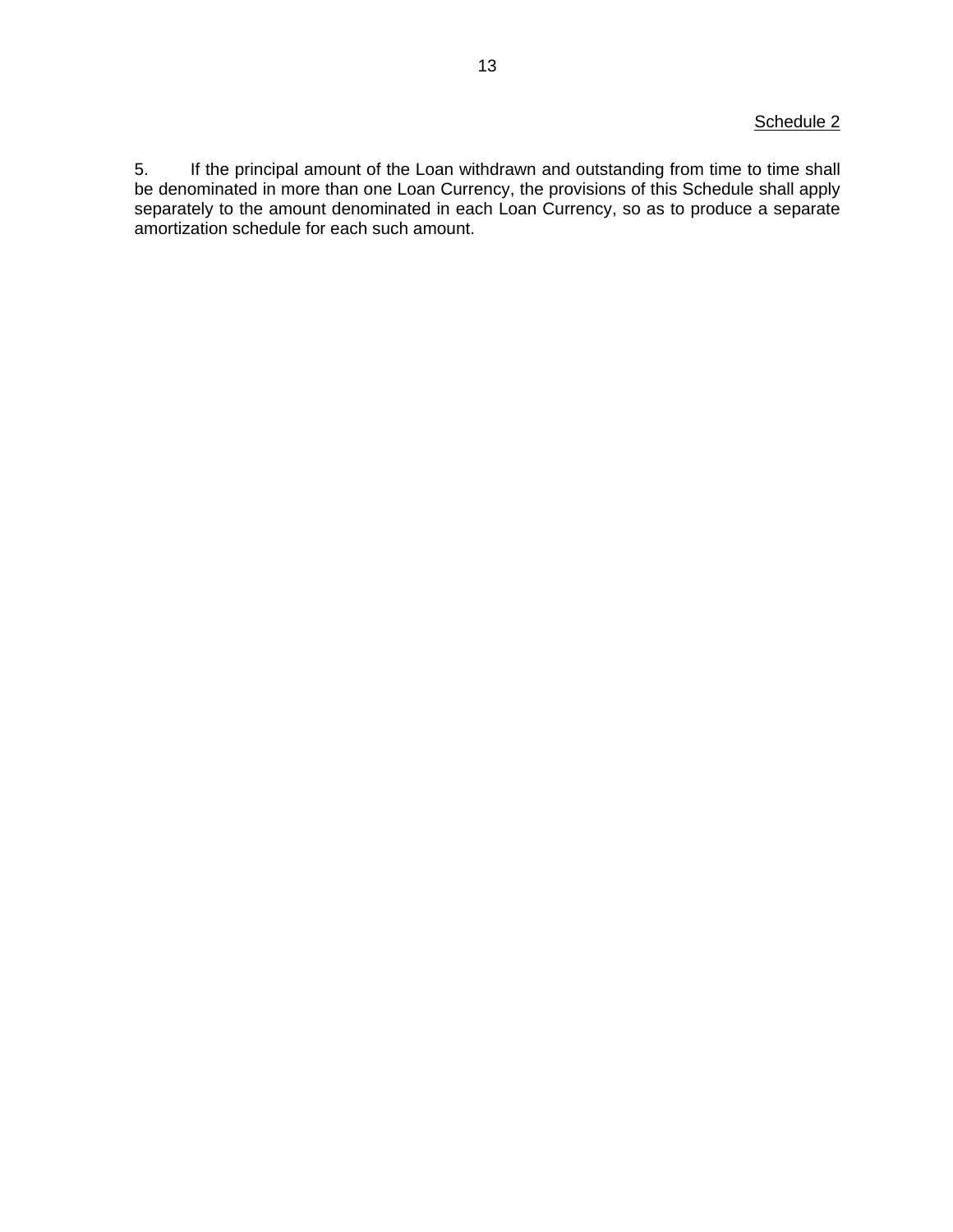# Schedule 2

5. If the principal amount of the Loan withdrawn and outstanding from time to time shall be denominated in more than one Loan Currency, the provisions of this Schedule shall apply separately to the amount denominated in each Loan Currency, so as to produce a separate amortization schedule for each such amount.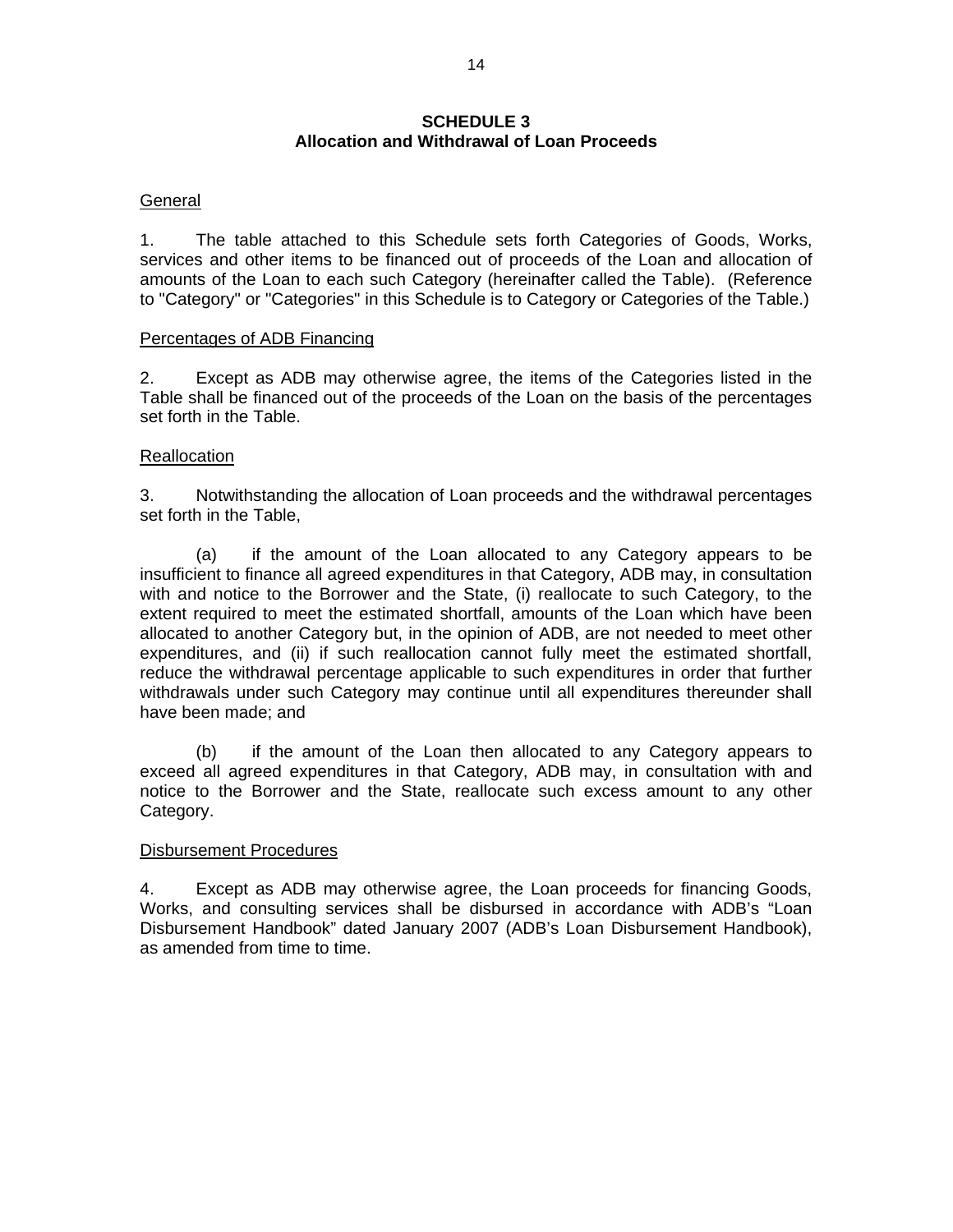## **SCHEDULE 3 Allocation and Withdrawal of Loan Proceeds**

# **General**

1. The table attached to this Schedule sets forth Categories of Goods, Works, services and other items to be financed out of proceeds of the Loan and allocation of amounts of the Loan to each such Category (hereinafter called the Table). (Reference to "Category" or "Categories" in this Schedule is to Category or Categories of the Table.)

### Percentages of ADB Financing

2. Except as ADB may otherwise agree, the items of the Categories listed in the Table shall be financed out of the proceeds of the Loan on the basis of the percentages set forth in the Table.

## Reallocation

3. Notwithstanding the allocation of Loan proceeds and the withdrawal percentages set forth in the Table,

(a) if the amount of the Loan allocated to any Category appears to be insufficient to finance all agreed expenditures in that Category, ADB may, in consultation with and notice to the Borrower and the State, (i) reallocate to such Category, to the extent required to meet the estimated shortfall, amounts of the Loan which have been allocated to another Category but, in the opinion of ADB, are not needed to meet other expenditures, and (ii) if such reallocation cannot fully meet the estimated shortfall, reduce the withdrawal percentage applicable to such expenditures in order that further withdrawals under such Category may continue until all expenditures thereunder shall have been made; and

 (b) if the amount of the Loan then allocated to any Category appears to exceed all agreed expenditures in that Category, ADB may, in consultation with and notice to the Borrower and the State, reallocate such excess amount to any other Category.

## Disbursement Procedures

4. Except as ADB may otherwise agree, the Loan proceeds for financing Goods, Works, and consulting services shall be disbursed in accordance with ADB's "Loan Disbursement Handbook" dated January 2007 (ADB's Loan Disbursement Handbook), as amended from time to time.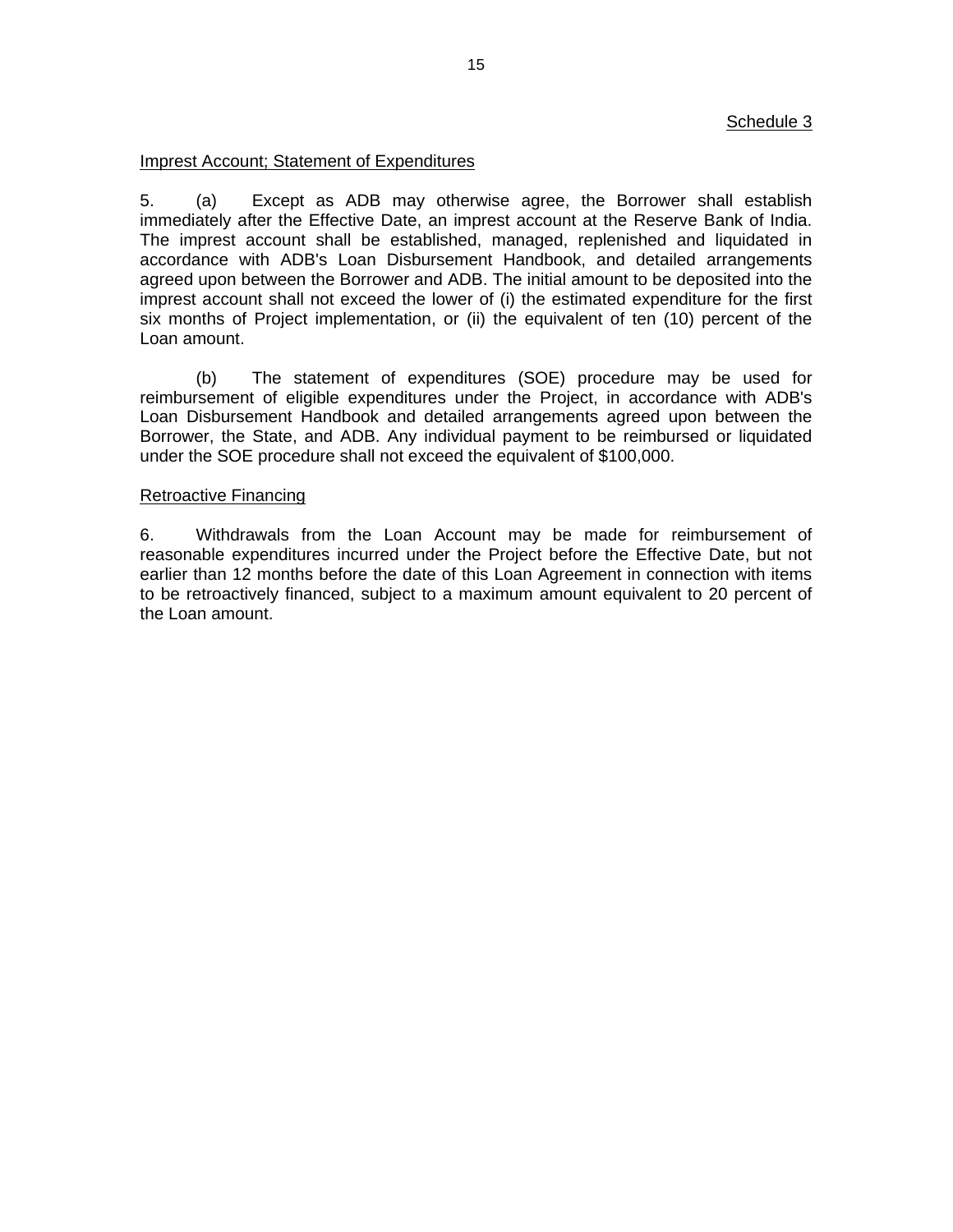## Schedule 3

## Imprest Account; Statement of Expenditures

5. (a) Except as ADB may otherwise agree, the Borrower shall establish immediately after the Effective Date, an imprest account at the Reserve Bank of India. The imprest account shall be established, managed, replenished and liquidated in accordance with ADB's Loan Disbursement Handbook, and detailed arrangements agreed upon between the Borrower and ADB. The initial amount to be deposited into the imprest account shall not exceed the lower of (i) the estimated expenditure for the first six months of Project implementation, or (ii) the equivalent of ten (10) percent of the Loan amount.

(b) The statement of expenditures (SOE) procedure may be used for reimbursement of eligible expenditures under the Project, in accordance with ADB's Loan Disbursement Handbook and detailed arrangements agreed upon between the Borrower, the State, and ADB. Any individual payment to be reimbursed or liquidated under the SOE procedure shall not exceed the equivalent of \$100,000.

## Retroactive Financing

6. Withdrawals from the Loan Account may be made for reimbursement of reasonable expenditures incurred under the Project before the Effective Date, but not earlier than 12 months before the date of this Loan Agreement in connection with items to be retroactively financed, subject to a maximum amount equivalent to 20 percent of the Loan amount.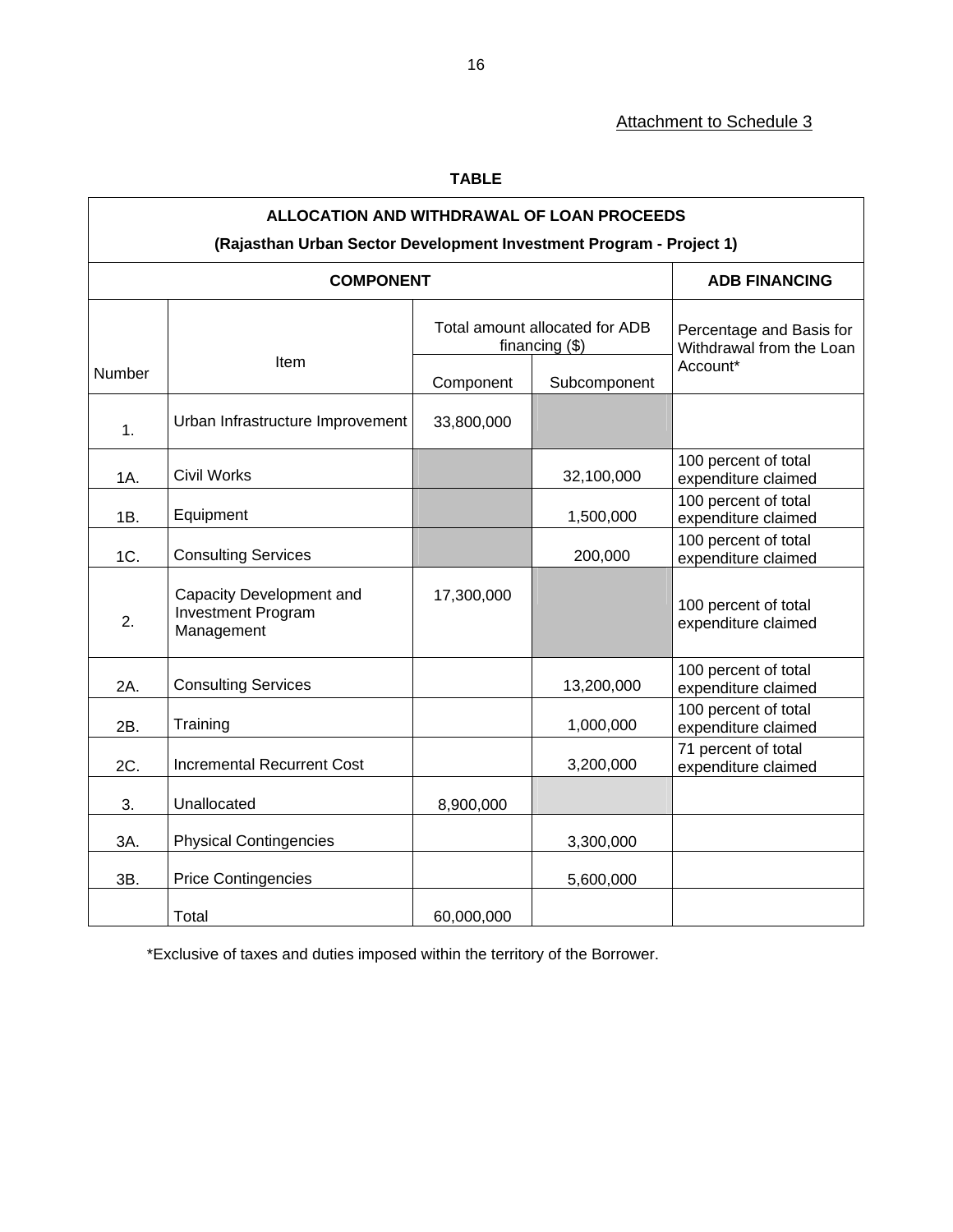# Attachment to Schedule 3

# **TABLE**

| ALLOCATION AND WITHDRAWAL OF LOAN PROCEEDS<br>(Rajasthan Urban Sector Development Investment Program - Project 1) |                                                              |                                                    |              |                                                      |  |
|-------------------------------------------------------------------------------------------------------------------|--------------------------------------------------------------|----------------------------------------------------|--------------|------------------------------------------------------|--|
|                                                                                                                   | <b>COMPONENT</b>                                             |                                                    |              | <b>ADB FINANCING</b>                                 |  |
|                                                                                                                   |                                                              | Total amount allocated for ADB<br>financing $(\$)$ |              | Percentage and Basis for<br>Withdrawal from the Loan |  |
| Number                                                                                                            | Item                                                         | Component                                          | Subcomponent | Account*                                             |  |
| 1.                                                                                                                | Urban Infrastructure Improvement                             | 33,800,000                                         |              |                                                      |  |
| 1A.                                                                                                               | <b>Civil Works</b>                                           |                                                    | 32,100,000   | 100 percent of total<br>expenditure claimed          |  |
| 1B.                                                                                                               | Equipment                                                    |                                                    | 1,500,000    | 100 percent of total<br>expenditure claimed          |  |
| 1C.                                                                                                               | <b>Consulting Services</b>                                   |                                                    | 200,000      | 100 percent of total<br>expenditure claimed          |  |
| 2.                                                                                                                | Capacity Development and<br>Investment Program<br>Management | 17,300,000                                         |              | 100 percent of total<br>expenditure claimed          |  |
| 2A.                                                                                                               | <b>Consulting Services</b>                                   |                                                    | 13,200,000   | 100 percent of total<br>expenditure claimed          |  |
| 2B.                                                                                                               | Training                                                     |                                                    | 1,000,000    | 100 percent of total<br>expenditure claimed          |  |
| 2C.                                                                                                               | <b>Incremental Recurrent Cost</b>                            |                                                    | 3,200,000    | 71 percent of total<br>expenditure claimed           |  |
| 3.                                                                                                                | Unallocated                                                  | 8,900,000                                          |              |                                                      |  |
| 3A.                                                                                                               | <b>Physical Contingencies</b>                                |                                                    | 3,300,000    |                                                      |  |
| 3B.                                                                                                               | <b>Price Contingencies</b>                                   |                                                    | 5,600,000    |                                                      |  |
|                                                                                                                   | Total                                                        | 60,000,000                                         |              |                                                      |  |

\*Exclusive of taxes and duties imposed within the territory of the Borrower.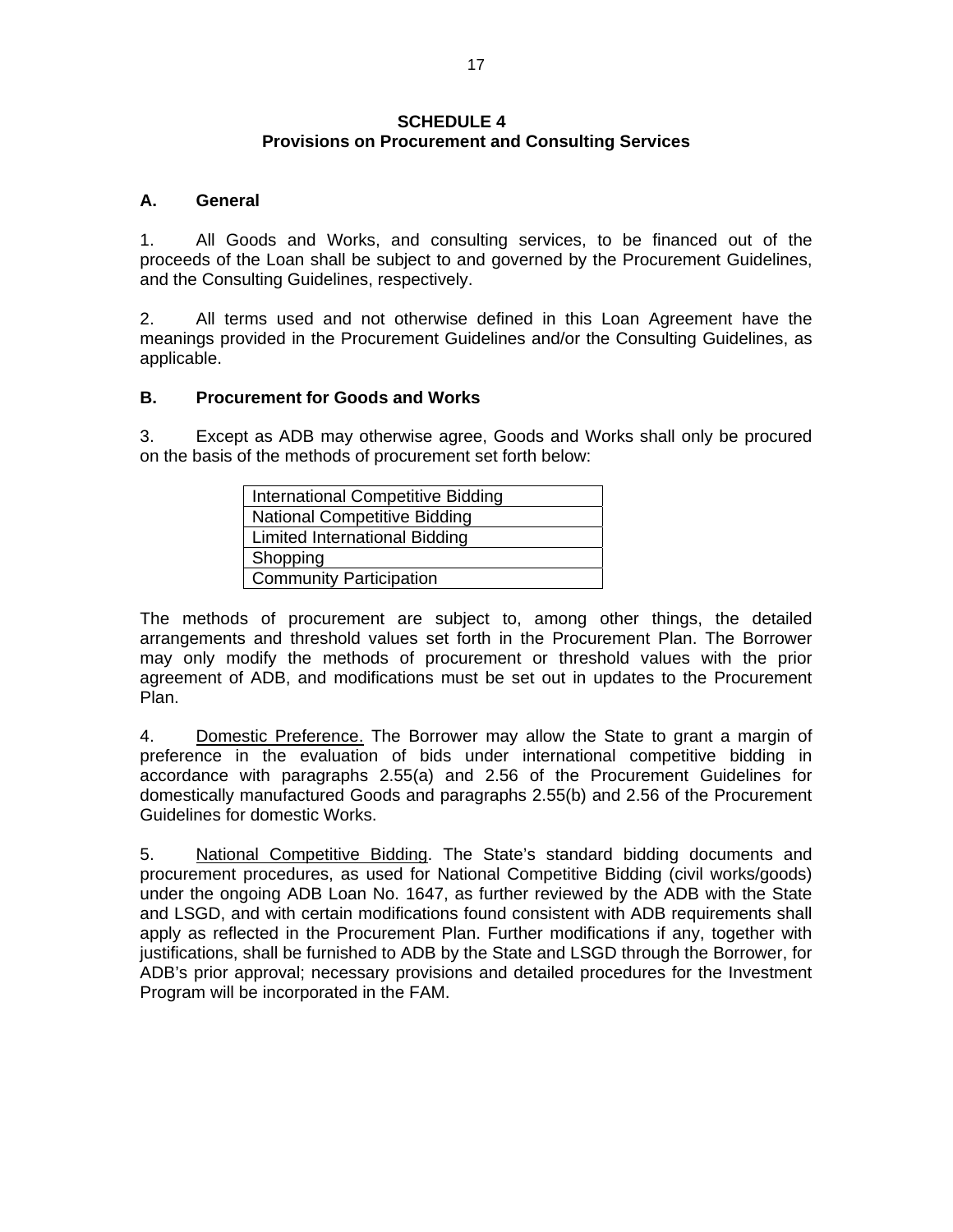## **SCHEDULE 4 Provisions on Procurement and Consulting Services**

# **A. General**

1. All Goods and Works, and consulting services, to be financed out of the proceeds of the Loan shall be subject to and governed by the Procurement Guidelines, and the Consulting Guidelines, respectively.

2. All terms used and not otherwise defined in this Loan Agreement have the meanings provided in the Procurement Guidelines and/or the Consulting Guidelines, as applicable.

# **B. Procurement for Goods and Works**

3. Except as ADB may otherwise agree, Goods and Works shall only be procured on the basis of the methods of procurement set forth below:

| International Competitive Bidding |
|-----------------------------------|
| National Competitive Bidding      |
| Limited International Bidding     |
| Shopping                          |
| <b>Community Participation</b>    |

The methods of procurement are subject to, among other things, the detailed arrangements and threshold values set forth in the Procurement Plan. The Borrower may only modify the methods of procurement or threshold values with the prior agreement of ADB, and modifications must be set out in updates to the Procurement Plan.

4. Domestic Preference. The Borrower may allow the State to grant a margin of preference in the evaluation of bids under international competitive bidding in accordance with paragraphs 2.55(a) and 2.56 of the Procurement Guidelines for domestically manufactured Goods and paragraphs 2.55(b) and 2.56 of the Procurement Guidelines for domestic Works.

5. National Competitive Bidding. The State's standard bidding documents and procurement procedures, as used for National Competitive Bidding (civil works/goods) under the ongoing ADB Loan No. 1647, as further reviewed by the ADB with the State and LSGD, and with certain modifications found consistent with ADB requirements shall apply as reflected in the Procurement Plan. Further modifications if any, together with justifications, shall be furnished to ADB by the State and LSGD through the Borrower, for ADB's prior approval; necessary provisions and detailed procedures for the Investment Program will be incorporated in the FAM.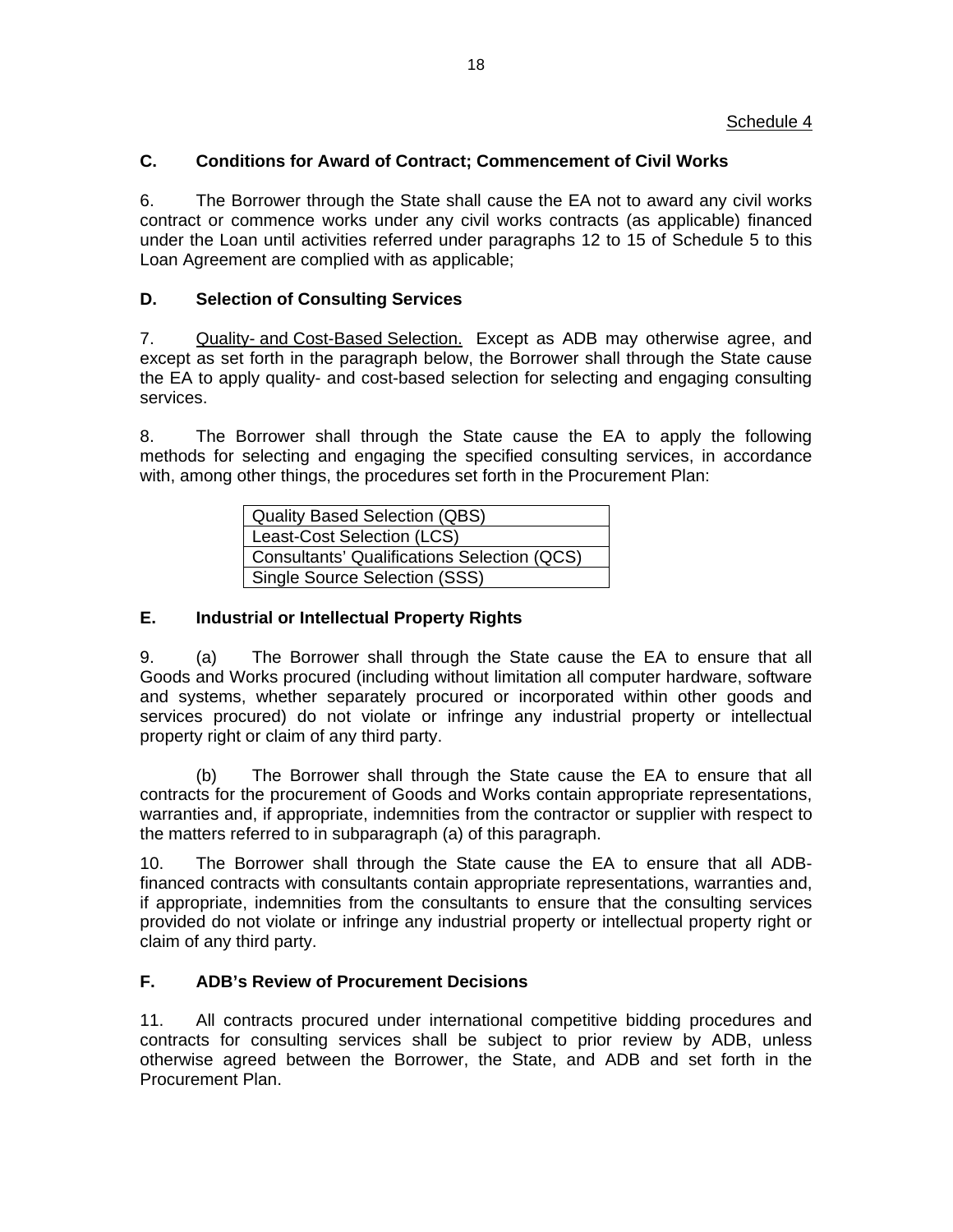# **C. Conditions for Award of Contract; Commencement of Civil Works**

6. The Borrower through the State shall cause the EA not to award any civil works contract or commence works under any civil works contracts (as applicable) financed under the Loan until activities referred under paragraphs 12 to 15 of Schedule 5 to this Loan Agreement are complied with as applicable;

# **D. Selection of Consulting Services**

7. Quality- and Cost-Based Selection. Except as ADB may otherwise agree, and except as set forth in the paragraph below, the Borrower shall through the State cause the EA to apply quality- and cost-based selection for selecting and engaging consulting services.

8. The Borrower shall through the State cause the EA to apply the following methods for selecting and engaging the specified consulting services, in accordance with, among other things, the procedures set forth in the Procurement Plan:

| Quality Based Selection (QBS)               |  |  |
|---------------------------------------------|--|--|
| Least-Cost Selection (LCS)                  |  |  |
| Consultants' Qualifications Selection (QCS) |  |  |
| Single Source Selection (SSS)               |  |  |

# **E. Industrial or Intellectual Property Rights**

9. (a) The Borrower shall through the State cause the EA to ensure that all Goods and Works procured (including without limitation all computer hardware, software and systems, whether separately procured or incorporated within other goods and services procured) do not violate or infringe any industrial property or intellectual property right or claim of any third party.

 (b) The Borrower shall through the State cause the EA to ensure that all contracts for the procurement of Goods and Works contain appropriate representations, warranties and, if appropriate, indemnities from the contractor or supplier with respect to the matters referred to in subparagraph (a) of this paragraph.

10. The Borrower shall through the State cause the EA to ensure that all ADBfinanced contracts with consultants contain appropriate representations, warranties and, if appropriate, indemnities from the consultants to ensure that the consulting services provided do not violate or infringe any industrial property or intellectual property right or claim of any third party.

# **F. ADB's Review of Procurement Decisions**

11. All contracts procured under international competitive bidding procedures and contracts for consulting services shall be subject to prior review by ADB, unless otherwise agreed between the Borrower, the State, and ADB and set forth in the Procurement Plan.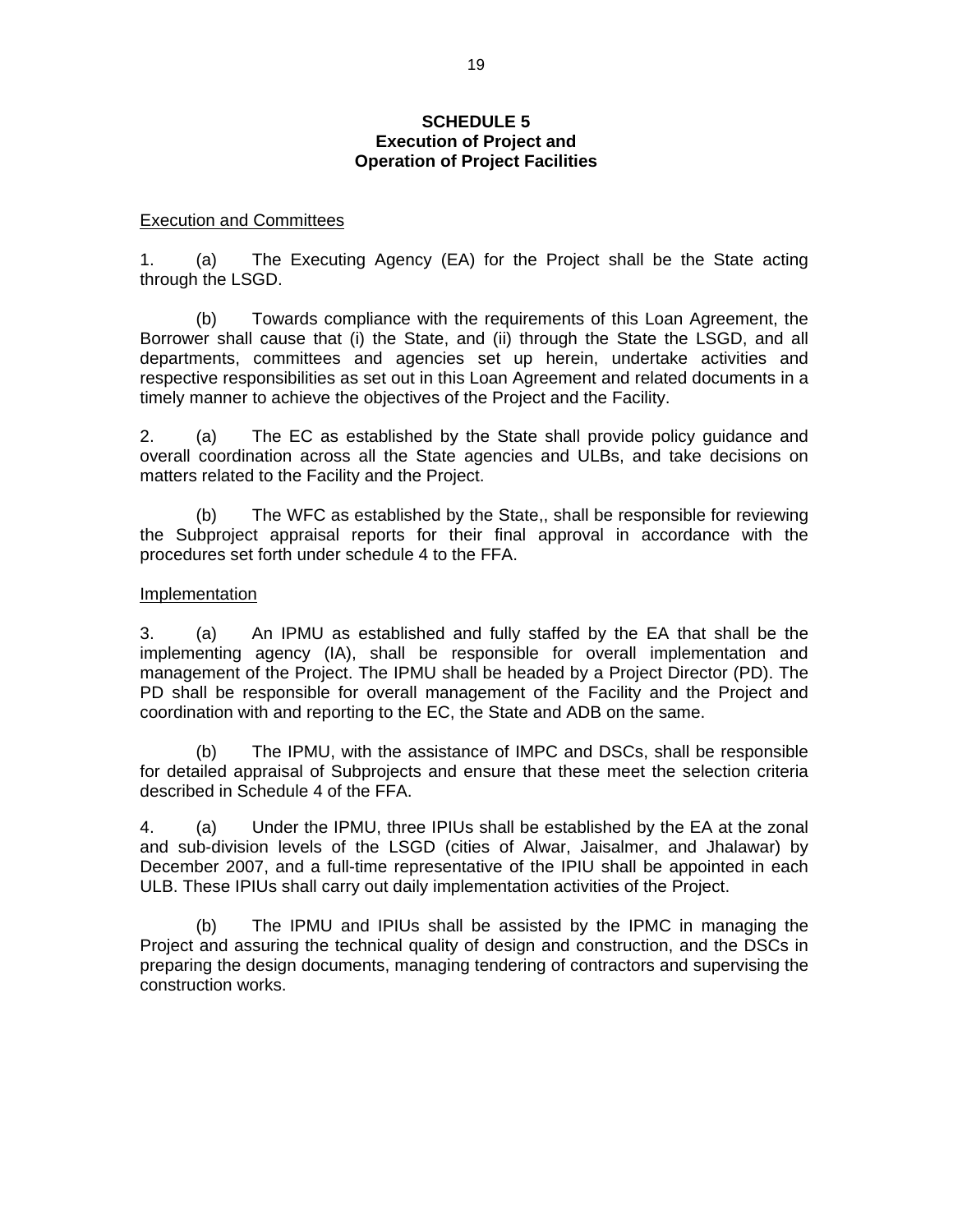## **SCHEDULE 5 Execution of Project and Operation of Project Facilities**

### Execution and Committees

1. (a) The Executing Agency (EA) for the Project shall be the State acting through the LSGD.

 (b) Towards compliance with the requirements of this Loan Agreement, the Borrower shall cause that (i) the State, and (ii) through the State the LSGD, and all departments, committees and agencies set up herein, undertake activities and respective responsibilities as set out in this Loan Agreement and related documents in a timely manner to achieve the objectives of the Project and the Facility.

2. (a) The EC as established by the State shall provide policy guidance and overall coordination across all the State agencies and ULBs, and take decisions on matters related to the Facility and the Project.

 (b) The WFC as established by the State,, shall be responsible for reviewing the Subproject appraisal reports for their final approval in accordance with the procedures set forth under schedule 4 to the FFA.

### Implementation

3. (a) An IPMU as established and fully staffed by the EA that shall be the implementing agency (IA), shall be responsible for overall implementation and management of the Project. The IPMU shall be headed by a Project Director (PD). The PD shall be responsible for overall management of the Facility and the Project and coordination with and reporting to the EC, the State and ADB on the same.

 (b) The IPMU, with the assistance of IMPC and DSCs, shall be responsible for detailed appraisal of Subprojects and ensure that these meet the selection criteria described in Schedule 4 of the FFA.

4. (a) Under the IPMU, three IPIUs shall be established by the EA at the zonal and sub-division levels of the LSGD (cities of Alwar, Jaisalmer, and Jhalawar) by December 2007, and a full-time representative of the IPIU shall be appointed in each ULB. These IPIUs shall carry out daily implementation activities of the Project.

(b) The IPMU and IPIUs shall be assisted by the IPMC in managing the Project and assuring the technical quality of design and construction, and the DSCs in preparing the design documents, managing tendering of contractors and supervising the construction works.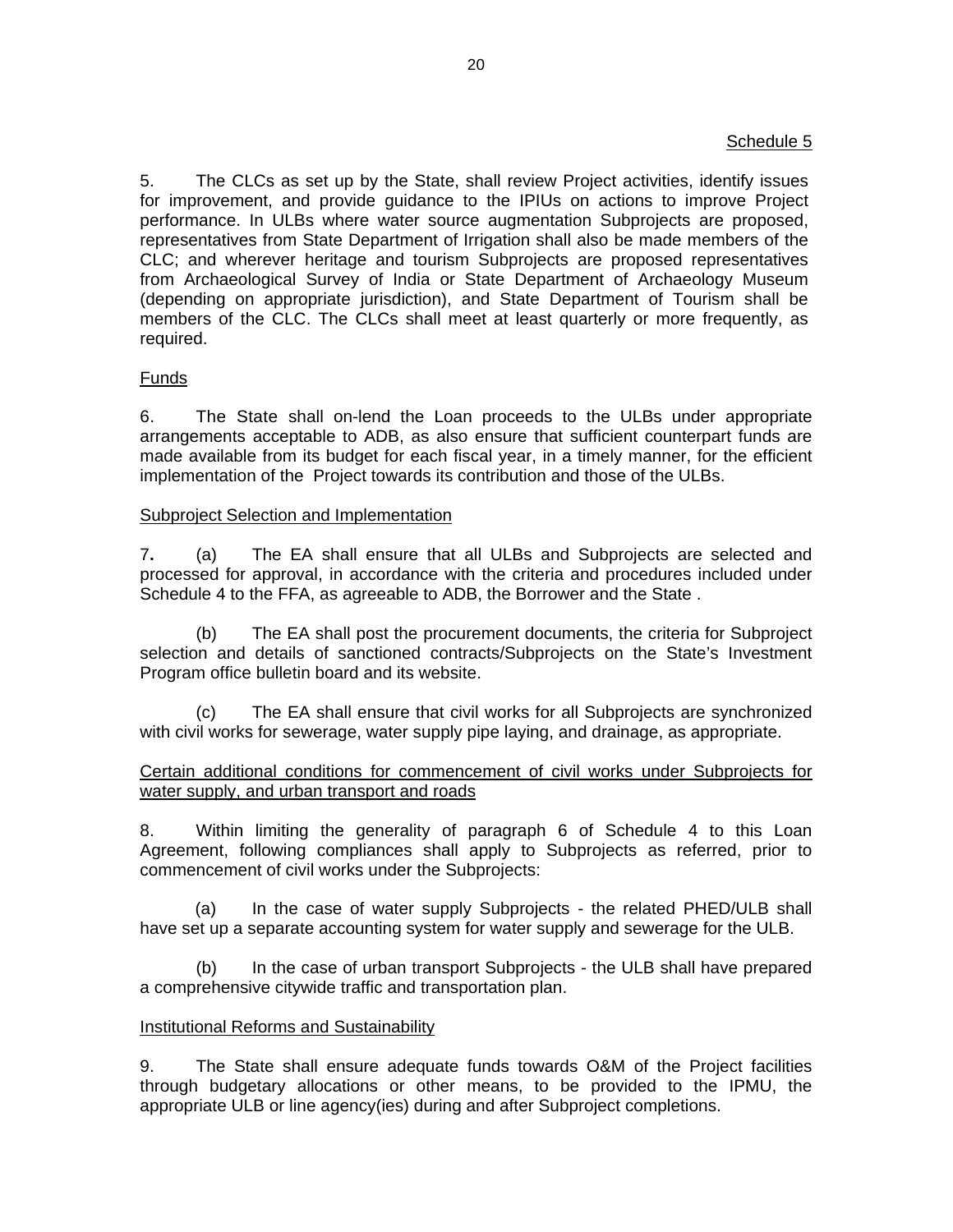# Schedule 5

5. The CLCs as set up by the State, shall review Project activities, identify issues for improvement, and provide guidance to the IPIUs on actions to improve Project performance. In ULBs where water source augmentation Subprojects are proposed, representatives from State Department of Irrigation shall also be made members of the CLC; and wherever heritage and tourism Subprojects are proposed representatives from Archaeological Survey of India or State Department of Archaeology Museum (depending on appropriate jurisdiction), and State Department of Tourism shall be members of the CLC. The CLCs shall meet at least quarterly or more frequently, as required.

# Funds

6. The State shall on-lend the Loan proceeds to the ULBs under appropriate arrangements acceptable to ADB, as also ensure that sufficient counterpart funds are made available from its budget for each fiscal year, in a timely manner, for the efficient implementation of the Project towards its contribution and those of the ULBs.

## Subproject Selection and Implementation

7**.** (a) The EA shall ensure that all ULBs and Subprojects are selected and processed for approval, in accordance with the criteria and procedures included under Schedule 4 to the FFA, as agreeable to ADB, the Borrower and the State .

(b) The EA shall post the procurement documents, the criteria for Subproject selection and details of sanctioned contracts/Subprojects on the State's Investment Program office bulletin board and its website.

(c) The EA shall ensure that civil works for all Subprojects are synchronized with civil works for sewerage, water supply pipe laying, and drainage, as appropriate.

# Certain additional conditions for commencement of civil works under Subprojects for water supply, and urban transport and roads

8. Within limiting the generality of paragraph 6 of Schedule 4 to this Loan Agreement, following compliances shall apply to Subprojects as referred, prior to commencement of civil works under the Subprojects:

(a) In the case of water supply Subprojects - the related PHED/ULB shall have set up a separate accounting system for water supply and sewerage for the ULB.

 (b) In the case of urban transport Subprojects - the ULB shall have prepared a comprehensive citywide traffic and transportation plan.

## Institutional Reforms and Sustainability

9. The State shall ensure adequate funds towards O&M of the Project facilities through budgetary allocations or other means, to be provided to the IPMU, the appropriate ULB or line agency(ies) during and after Subproject completions.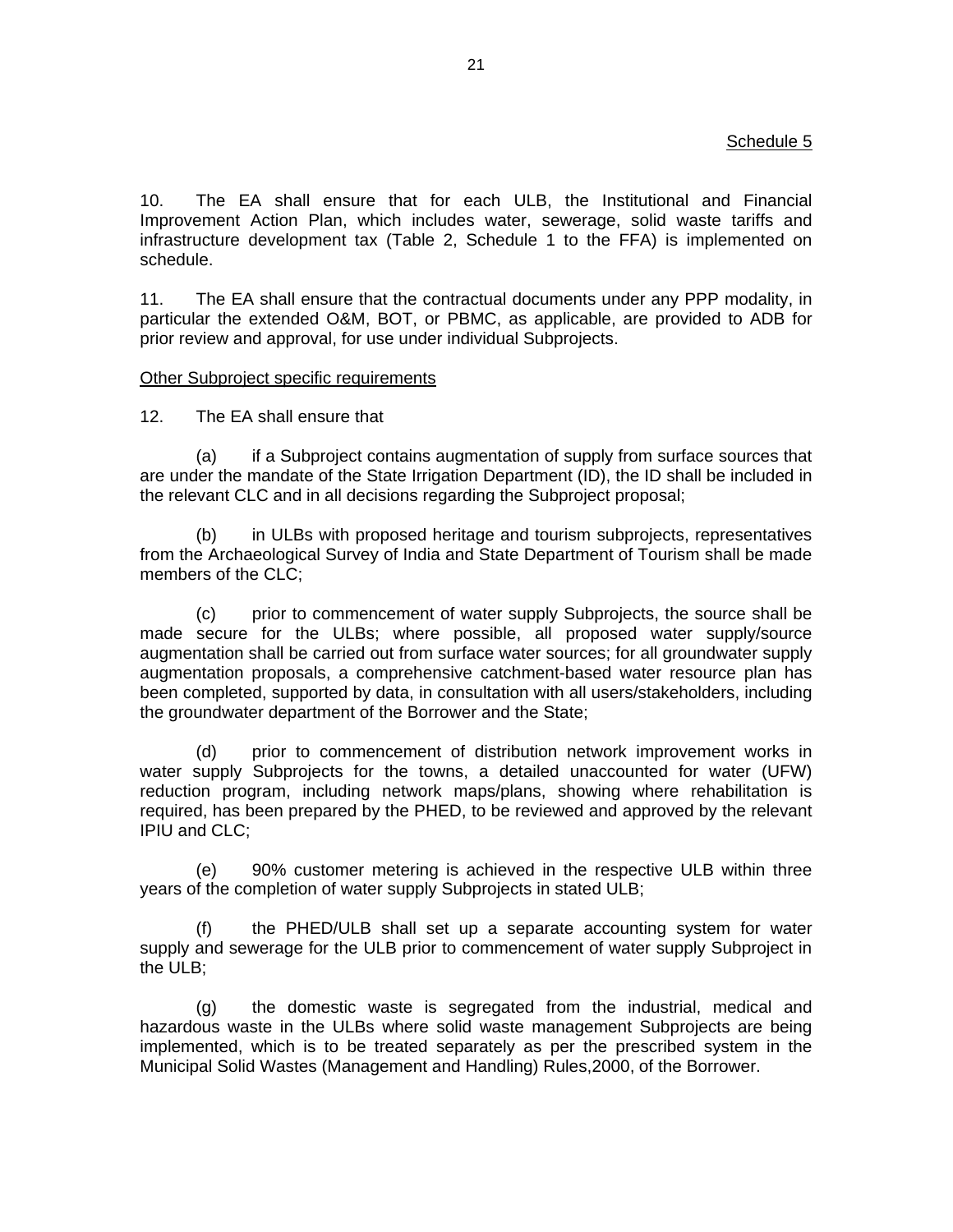# Schedule 5

10. The EA shall ensure that for each ULB, the Institutional and Financial Improvement Action Plan, which includes water, sewerage, solid waste tariffs and infrastructure development tax (Table 2, Schedule 1 to the FFA) is implemented on schedule.

11. The EA shall ensure that the contractual documents under any PPP modality, in particular the extended O&M, BOT, or PBMC, as applicable, are provided to ADB for prior review and approval, for use under individual Subprojects.

### Other Subproject specific requirements

12. The EA shall ensure that

(a) if a Subproject contains augmentation of supply from surface sources that are under the mandate of the State Irrigation Department (ID), the ID shall be included in the relevant CLC and in all decisions regarding the Subproject proposal;

(b) in ULBs with proposed heritage and tourism subprojects, representatives from the Archaeological Survey of India and State Department of Tourism shall be made members of the CLC;

(c) prior to commencement of water supply Subprojects, the source shall be made secure for the ULBs; where possible, all proposed water supply/source augmentation shall be carried out from surface water sources; for all groundwater supply augmentation proposals, a comprehensive catchment-based water resource plan has been completed, supported by data, in consultation with all users/stakeholders, including the groundwater department of the Borrower and the State;

(d) prior to commencement of distribution network improvement works in water supply Subprojects for the towns, a detailed unaccounted for water (UFW) reduction program, including network maps/plans, showing where rehabilitation is required, has been prepared by the PHED, to be reviewed and approved by the relevant IPIU and CLC;

(e) 90% customer metering is achieved in the respective ULB within three years of the completion of water supply Subprojects in stated ULB;

(f) the PHED/ULB shall set up a separate accounting system for water supply and sewerage for the ULB prior to commencement of water supply Subproject in the ULB;

(g) the domestic waste is segregated from the industrial, medical and hazardous waste in the ULBs where solid waste management Subprojects are being implemented, which is to be treated separately as per the prescribed system in the Municipal Solid Wastes (Management and Handling) Rules,2000, of the Borrower.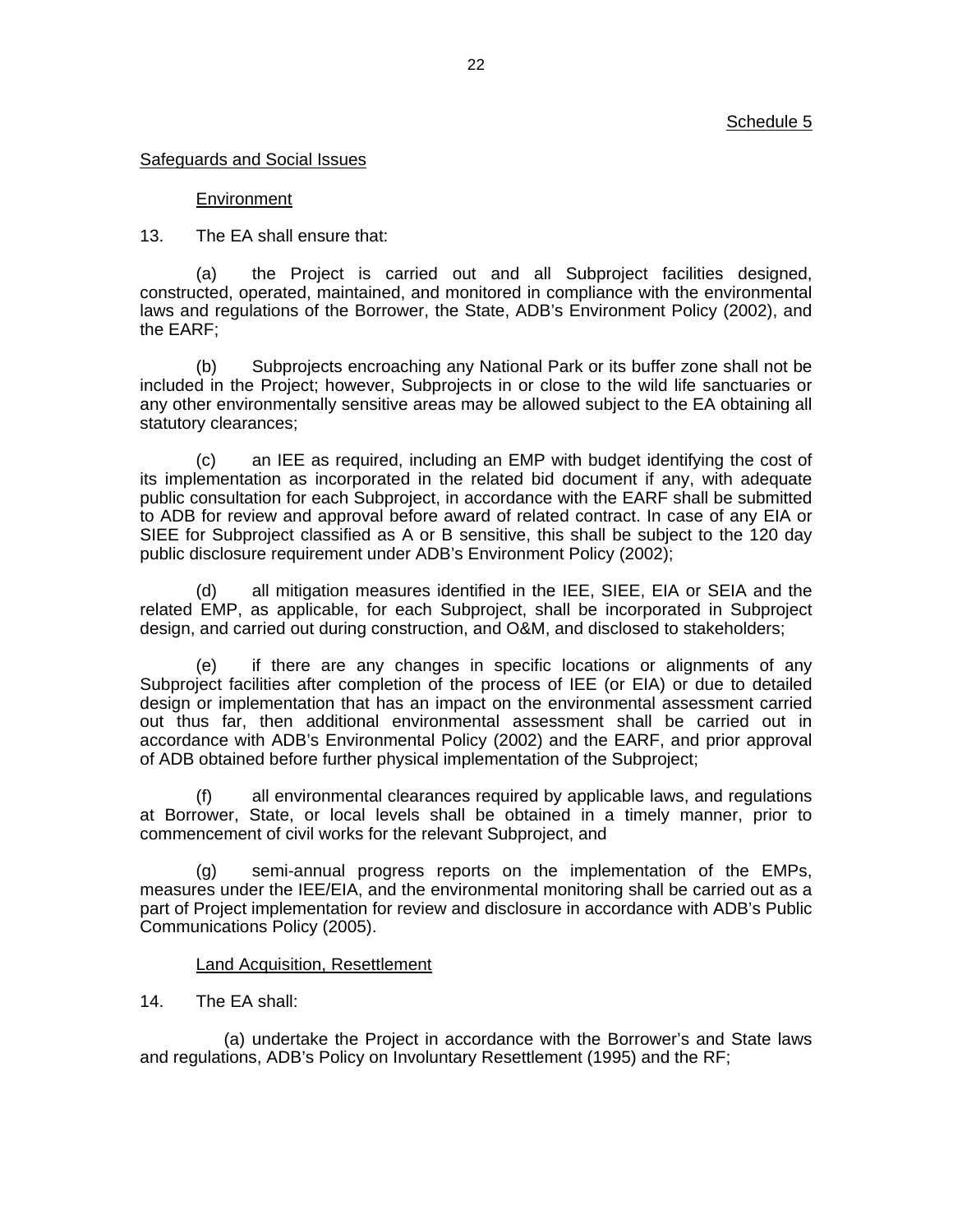### Safeguards and Social Issues

### Environment

13. The EA shall ensure that:

(a) the Project is carried out and all Subproject facilities designed, constructed, operated, maintained, and monitored in compliance with the environmental laws and regulations of the Borrower, the State, ADB's Environment Policy (2002), and the EARF;

(b) Subprojects encroaching any National Park or its buffer zone shall not be included in the Project; however, Subprojects in or close to the wild life sanctuaries or any other environmentally sensitive areas may be allowed subject to the EA obtaining all statutory clearances;

(c) an IEE as required, including an EMP with budget identifying the cost of its implementation as incorporated in the related bid document if any, with adequate public consultation for each Subproject, in accordance with the EARF shall be submitted to ADB for review and approval before award of related contract. In case of any EIA or SIEE for Subproject classified as A or B sensitive, this shall be subject to the 120 day public disclosure requirement under ADB's Environment Policy (2002);

(d) all mitigation measures identified in the IEE, SIEE, EIA or SEIA and the related EMP, as applicable, for each Subproject, shall be incorporated in Subproject design, and carried out during construction, and O&M, and disclosed to stakeholders;

(e) if there are any changes in specific locations or alignments of any Subproject facilities after completion of the process of IEE (or EIA) or due to detailed design or implementation that has an impact on the environmental assessment carried out thus far, then additional environmental assessment shall be carried out in accordance with ADB's Environmental Policy (2002) and the EARF, and prior approval of ADB obtained before further physical implementation of the Subproject;

(f) all environmental clearances required by applicable laws, and regulations at Borrower, State, or local levels shall be obtained in a timely manner, prior to commencement of civil works for the relevant Subproject, and

(g) semi-annual progress reports on the implementation of the EMPs, measures under the IEE/EIA, and the environmental monitoring shall be carried out as a part of Project implementation for review and disclosure in accordance with ADB's Public Communications Policy (2005).

### Land Acquisition, Resettlement

## 14. The EA shall:

(a) undertake the Project in accordance with the Borrower's and State laws and regulations, ADB's Policy on Involuntary Resettlement (1995) and the RF;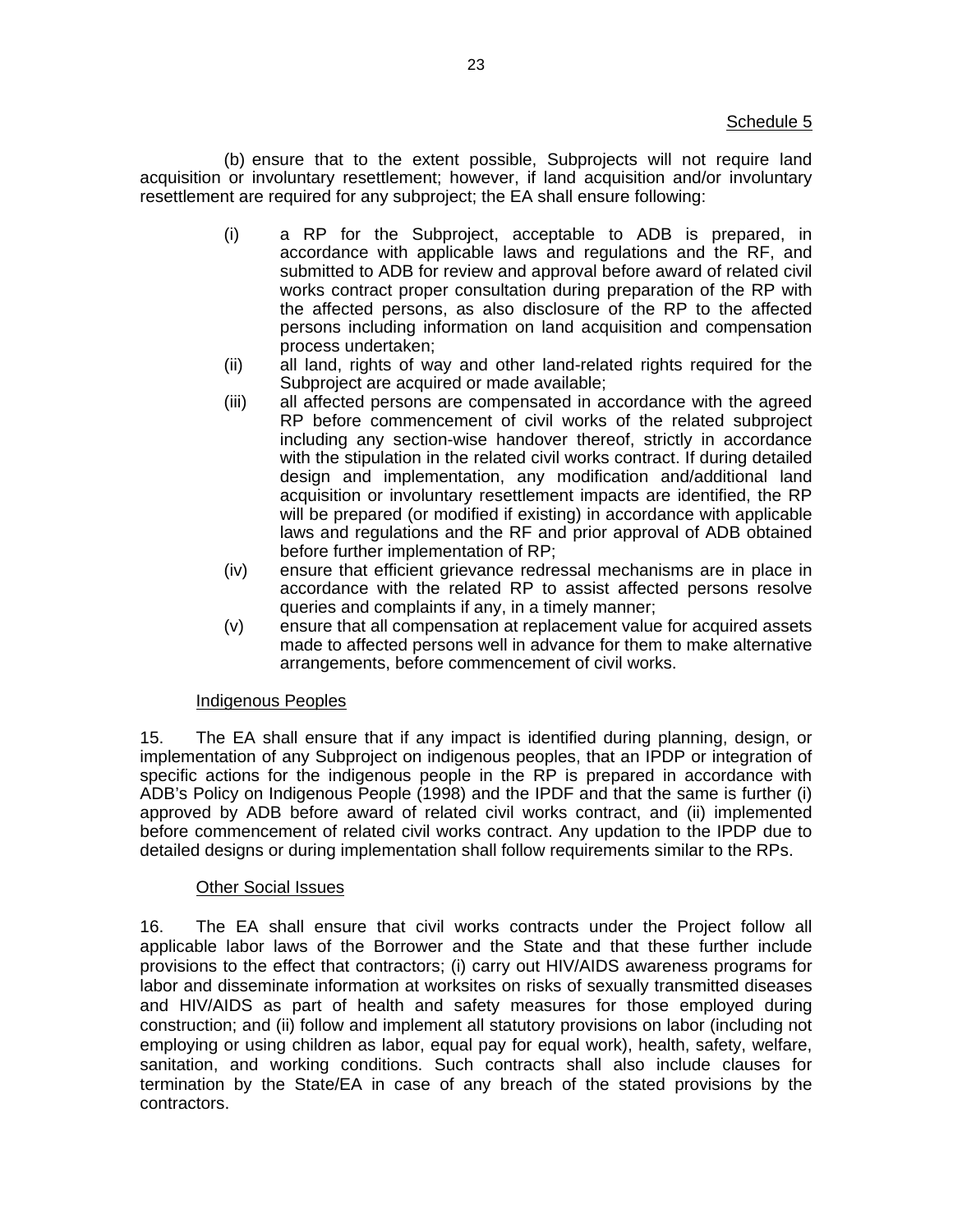(b) ensure that to the extent possible, Subprojects will not require land acquisition or involuntary resettlement; however, if land acquisition and/or involuntary resettlement are required for any subproject; the EA shall ensure following:

- (i) a RP for the Subproject, acceptable to ADB is prepared, in accordance with applicable laws and regulations and the RF, and submitted to ADB for review and approval before award of related civil works contract proper consultation during preparation of the RP with the affected persons, as also disclosure of the RP to the affected persons including information on land acquisition and compensation process undertaken;
- (ii) all land, rights of way and other land-related rights required for the Subproject are acquired or made available;
- (iii) all affected persons are compensated in accordance with the agreed RP before commencement of civil works of the related subproject including any section-wise handover thereof, strictly in accordance with the stipulation in the related civil works contract. If during detailed design and implementation, any modification and/additional land acquisition or involuntary resettlement impacts are identified, the RP will be prepared (or modified if existing) in accordance with applicable laws and regulations and the RF and prior approval of ADB obtained before further implementation of RP;
- (iv) ensure that efficient grievance redressal mechanisms are in place in accordance with the related RP to assist affected persons resolve queries and complaints if any, in a timely manner;
- (v) ensure that all compensation at replacement value for acquired assets made to affected persons well in advance for them to make alternative arrangements, before commencement of civil works.

## Indigenous Peoples

15. The EA shall ensure that if any impact is identified during planning, design, or implementation of any Subproject on indigenous peoples, that an IPDP or integration of specific actions for the indigenous people in the RP is prepared in accordance with ADB's Policy on Indigenous People (1998) and the IPDF and that the same is further (i) approved by ADB before award of related civil works contract, and (ii) implemented before commencement of related civil works contract. Any updation to the IPDP due to detailed designs or during implementation shall follow requirements similar to the RPs.

# Other Social Issues

16. The EA shall ensure that civil works contracts under the Project follow all applicable labor laws of the Borrower and the State and that these further include provisions to the effect that contractors; (i) carry out HIV/AIDS awareness programs for labor and disseminate information at worksites on risks of sexually transmitted diseases and HIV/AIDS as part of health and safety measures for those employed during construction; and (ii) follow and implement all statutory provisions on labor (including not employing or using children as labor, equal pay for equal work), health, safety, welfare, sanitation, and working conditions. Such contracts shall also include clauses for termination by the State/EA in case of any breach of the stated provisions by the contractors.